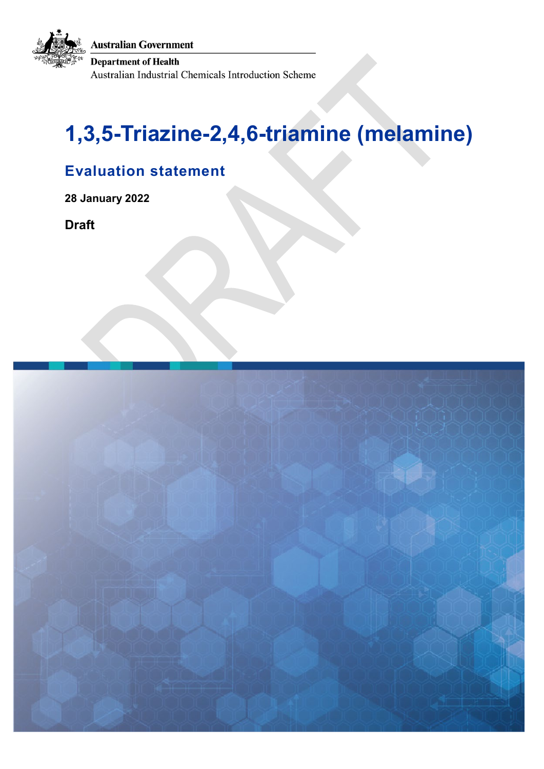**Australian Government** 

**Department of Health** Australian Industrial Chemicals Introduction Scheme

# **1,3,5-Triazine-2,4,6-triamine (melamine)**

# **Evaluation statement**

**28 January 2022** 

**Draft**

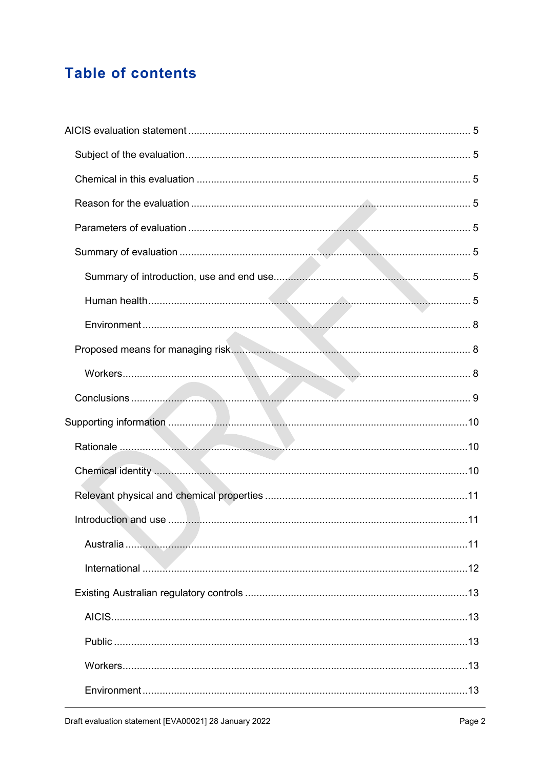# **Table of contents**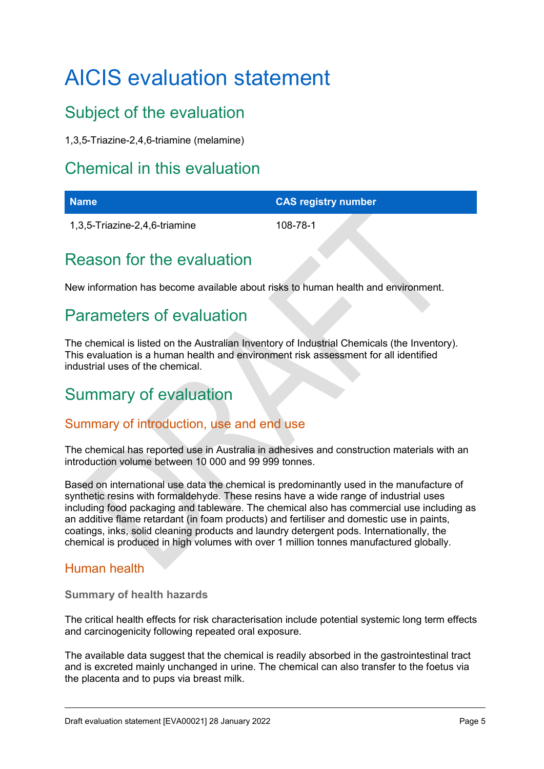# <span id="page-4-0"></span>AICIS evaluation statement

# <span id="page-4-1"></span>Subject of the evaluation

1,3,5-Triazine-2,4,6-triamine (melamine)

# <span id="page-4-2"></span>Chemical in this evaluation

| <b>Name</b>                   | <b>CAS registry number</b> |
|-------------------------------|----------------------------|
| 1,3,5-Triazine-2,4,6-triamine | 108-78-1                   |

# <span id="page-4-3"></span>Reason for the evaluation

New information has become available about risks to human health and environment.

# <span id="page-4-4"></span>Parameters of evaluation

The chemical is listed on the Australian Inventory of Industrial Chemicals (the Inventory). This evaluation is a human health and environment risk assessment for all identified industrial uses of the chemical.

# <span id="page-4-5"></span>Summary of evaluation

# <span id="page-4-6"></span>Summary of introduction, use and end use

The chemical has reported use in Australia in adhesives and construction materials with an introduction volume between 10 000 and 99 999 tonnes.

Based on international use data the chemical is predominantly used in the manufacture of synthetic resins with formaldehyde. These resins have a wide range of industrial uses including food packaging and tableware. The chemical also has commercial use including as an additive flame retardant (in foam products) and fertiliser and domestic use in paints, coatings, inks, solid cleaning products and laundry detergent pods. Internationally, the chemical is produced in high volumes with over 1 million tonnes manufactured globally.

# <span id="page-4-7"></span>Human health

**Summary of health hazards**

The critical health effects for risk characterisation include potential systemic long term effects and carcinogenicity following repeated oral exposure.

The available data suggest that the chemical is readily absorbed in the gastrointestinal tract and is excreted mainly unchanged in urine. The chemical can also transfer to the foetus via the placenta and to pups via breast milk.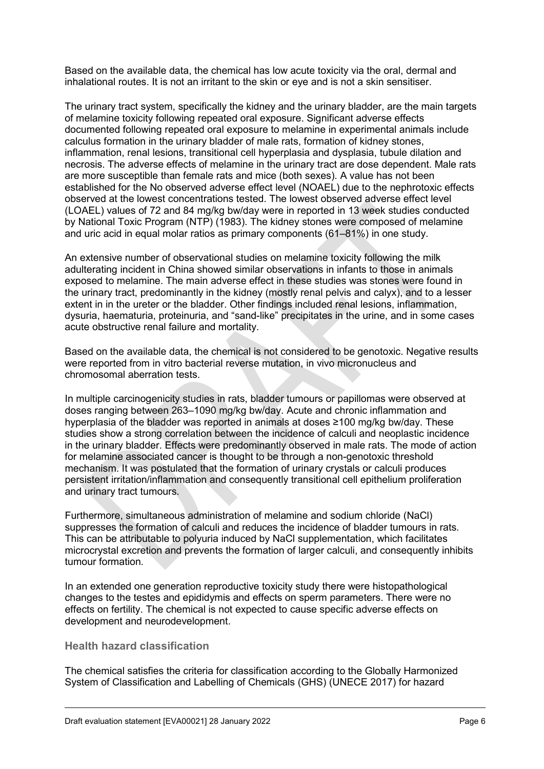Based on the available data, the chemical has low acute toxicity via the oral, dermal and inhalational routes. It is not an irritant to the skin or eye and is not a skin sensitiser.

The urinary tract system, specifically the kidney and the urinary bladder, are the main targets of melamine toxicity following repeated oral exposure. Significant adverse effects documented following repeated oral exposure to melamine in experimental animals include calculus formation in the urinary bladder of male rats, formation of kidney stones, inflammation, renal lesions, transitional cell hyperplasia and dysplasia, tubule dilation and necrosis. The adverse effects of melamine in the urinary tract are dose dependent. Male rats are more susceptible than female rats and mice (both sexes). A value has not been established for the No observed adverse effect level (NOAEL) due to the nephrotoxic effects observed at the lowest concentrations tested. The lowest observed adverse effect level (LOAEL) values of 72 and 84 mg/kg bw/day were in reported in 13 week studies conducted by National Toxic Program (NTP) (1983). The kidney stones were composed of melamine and uric acid in equal molar ratios as primary components (61–81%) in one study.

An extensive number of observational studies on melamine toxicity following the milk adulterating incident in China showed similar observations in infants to those in animals exposed to melamine. The main adverse effect in these studies was stones were found in the urinary tract, predominantly in the kidney (mostly renal pelvis and calyx), and to a lesser extent in in the ureter or the bladder. Other findings included renal lesions, inflammation, dysuria, haematuria, proteinuria, and "sand-like" precipitates in the urine, and in some cases acute obstructive renal failure and mortality.

Based on the available data, the chemical is not considered to be genotoxic. Negative results were reported from in vitro bacterial reverse mutation, in vivo micronucleus and chromosomal aberration tests.

In multiple carcinogenicity studies in rats, bladder tumours or papillomas were observed at doses ranging between 263–1090 mg/kg bw/day. Acute and chronic inflammation and hyperplasia of the bladder was reported in animals at doses ≥100 mg/kg bw/day. These studies show a strong correlation between the incidence of calculi and neoplastic incidence in the urinary bladder. Effects were predominantly observed in male rats. The mode of action for melamine associated cancer is thought to be through a non-genotoxic threshold mechanism. It was postulated that the formation of urinary crystals or calculi produces persistent irritation/inflammation and consequently transitional cell epithelium proliferation and urinary tract tumours.

Furthermore, simultaneous administration of melamine and sodium chloride (NaCl) suppresses the formation of calculi and reduces the incidence of bladder tumours in rats. This can be attributable to polyuria induced by NaCl supplementation, which facilitates microcrystal excretion and prevents the formation of larger calculi, and consequently inhibits tumour formation.

In an extended one generation reproductive toxicity study there were histopathological changes to the testes and epididymis and effects on sperm parameters. There were no effects on fertility. The chemical is not expected to cause specific adverse effects on development and neurodevelopment.

#### **Health hazard classification**

The chemical satisfies the criteria for classification according to the Globally Harmonized System of Classification and Labelling of Chemicals (GHS) (UNECE 2017) for hazard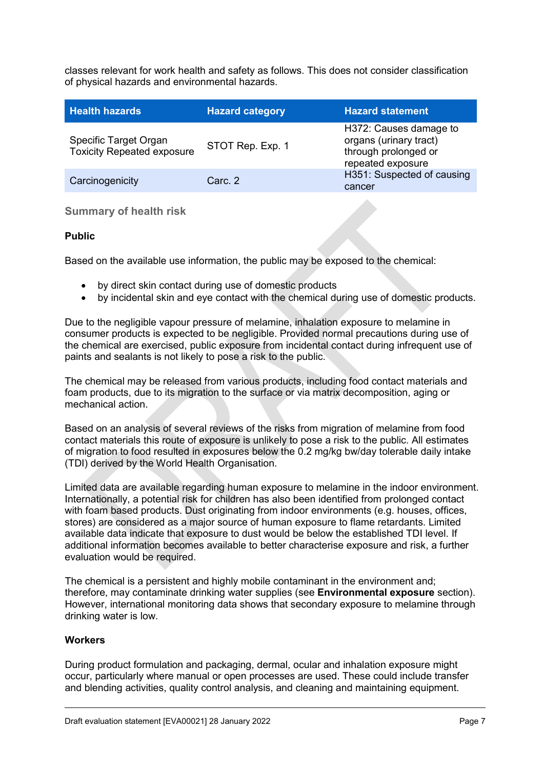classes relevant for work health and safety as follows. This does not consider classification of physical hazards and environmental hazards.

| <b>Health hazards</b>                                      | <b>Hazard category</b> | <b>Hazard statement</b>                                                                       |
|------------------------------------------------------------|------------------------|-----------------------------------------------------------------------------------------------|
| Specific Target Organ<br><b>Toxicity Repeated exposure</b> | STOT Rep. Exp. 1       | H372: Causes damage to<br>organs (urinary tract)<br>through prolonged or<br>repeated exposure |
| Carcinogenicity                                            | Carc. 2                | H351: Suspected of causing<br>cancer                                                          |

#### **Summary of health risk**

#### **Public**

Based on the available use information, the public may be exposed to the chemical:

- by direct skin contact during use of domestic products
- by incidental skin and eye contact with the chemical during use of domestic products.

Due to the negligible vapour pressure of melamine, inhalation exposure to melamine in consumer products is expected to be negligible. Provided normal precautions during use of the chemical are exercised, public exposure from incidental contact during infrequent use of paints and sealants is not likely to pose a risk to the public.

The chemical may be released from various products, including food contact materials and foam products, due to its migration to the surface or via matrix decomposition, aging or mechanical action.

Based on an analysis of several reviews of the risks from migration of melamine from food contact materials this route of exposure is unlikely to pose a risk to the public. All estimates of migration to food resulted in exposures below the 0.2 mg/kg bw/day tolerable daily intake (TDI) derived by the World Health Organisation.

Limited data are available regarding human exposure to melamine in the indoor environment. Internationally, a potential risk for children has also been identified from prolonged contact with foam based products. Dust originating from indoor environments (e.g. houses, offices, stores) are considered as a major source of human exposure to flame retardants. Limited available data indicate that exposure to dust would be below the established TDI level. If additional information becomes available to better characterise exposure and risk, a further evaluation would be required.

The chemical is a persistent and highly mobile contaminant in the environment and; therefore, may contaminate drinking water supplies (see **Environmental exposure** section). However, international monitoring data shows that secondary exposure to melamine through drinking water is low.

#### **Workers**

During product formulation and packaging, dermal, ocular and inhalation exposure might occur, particularly where manual or open processes are used. These could include transfer and blending activities, quality control analysis, and cleaning and maintaining equipment.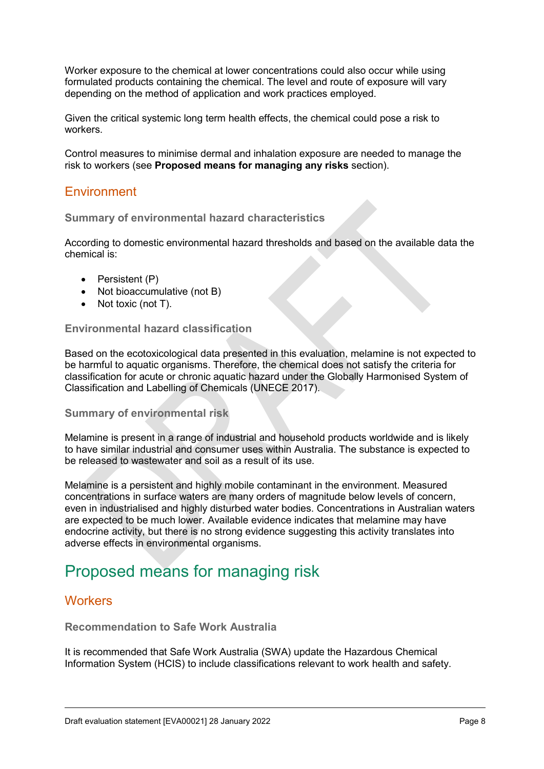Worker exposure to the chemical at lower concentrations could also occur while using formulated products containing the chemical. The level and route of exposure will vary depending on the method of application and work practices employed.

Given the critical systemic long term health effects, the chemical could pose a risk to workers.

Control measures to minimise dermal and inhalation exposure are needed to manage the risk to workers (see **Proposed means for managing any risks** section).

### <span id="page-7-0"></span>**Environment**

#### **Summary of environmental hazard characteristics**

According to domestic environmental hazard thresholds and based on the available data the chemical is:

- Persistent (P)
- Not bioaccumulative (not B)
- Not toxic (not T).

#### **Environmental hazard classification**

Based on the ecotoxicological data presented in this evaluation, melamine is not expected to be harmful to aquatic organisms. Therefore, the chemical does not satisfy the criteria for classification for acute or chronic aquatic hazard under the Globally Harmonised System of Classification and Labelling of Chemicals (UNECE 2017).

#### **Summary of environmental risk**

Melamine is present in a range of industrial and household products worldwide and is likely to have similar industrial and consumer uses within Australia. The substance is expected to be released to wastewater and soil as a result of its use.

Melamine is a persistent and highly mobile contaminant in the environment. Measured concentrations in surface waters are many orders of magnitude below levels of concern, even in industrialised and highly disturbed water bodies. Concentrations in Australian waters are expected to be much lower. Available evidence indicates that melamine may have endocrine activity, but there is no strong evidence suggesting this activity translates into adverse effects in environmental organisms.

# <span id="page-7-1"></span>Proposed means for managing risk

### <span id="page-7-2"></span>**Workers**

### **Recommendation to Safe Work Australia**

It is recommended that Safe Work Australia (SWA) update the Hazardous Chemical Information System (HCIS) to include classifications relevant to work health and safety.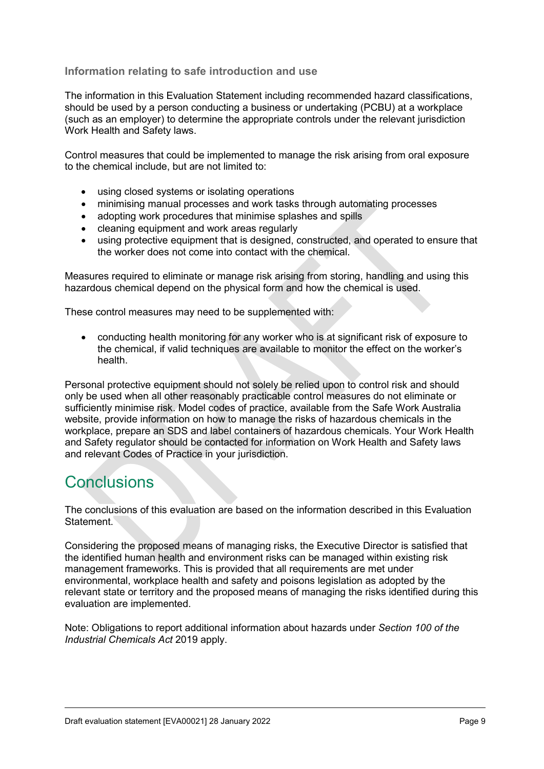#### **Information relating to safe introduction and use**

The information in this Evaluation Statement including recommended hazard classifications, should be used by a person conducting a business or undertaking (PCBU) at a workplace (such as an employer) to determine the appropriate controls under the relevant jurisdiction Work Health and Safety laws.

Control measures that could be implemented to manage the risk arising from oral exposure to the chemical include, but are not limited to:

- using closed systems or isolating operations
- minimising manual processes and work tasks through automating processes
- adopting work procedures that minimise splashes and spills
- cleaning equipment and work areas regularly
- using protective equipment that is designed, constructed, and operated to ensure that the worker does not come into contact with the chemical.

Measures required to eliminate or manage risk arising from storing, handling and using this hazardous chemical depend on the physical form and how the chemical is used.

These control measures may need to be supplemented with:

• conducting health monitoring for any worker who is at significant risk of exposure to the chemical, if valid techniques are available to monitor the effect on the worker's health.

Personal protective equipment should not solely be relied upon to control risk and should only be used when all other reasonably practicable control measures do not eliminate or sufficiently minimise risk. Model codes of practice, available from the Safe Work Australia website, provide information on how to manage the risks of hazardous chemicals in the workplace, prepare an SDS and label containers of hazardous chemicals. Your Work Health and Safety regulator should be contacted for information on Work Health and Safety laws and relevant Codes of Practice in your jurisdiction.

# <span id="page-8-0"></span>**Conclusions**

The conclusions of this evaluation are based on the information described in this Evaluation Statement.

Considering the proposed means of managing risks, the Executive Director is satisfied that the identified human health and environment risks can be managed within existing risk management frameworks. This is provided that all requirements are met under environmental, workplace health and safety and poisons legislation as adopted by the relevant state or territory and the proposed means of managing the risks identified during this evaluation are implemented.

Note: Obligations to report additional information about hazards under *Section 100 of the Industrial Chemicals Act* 2019 apply.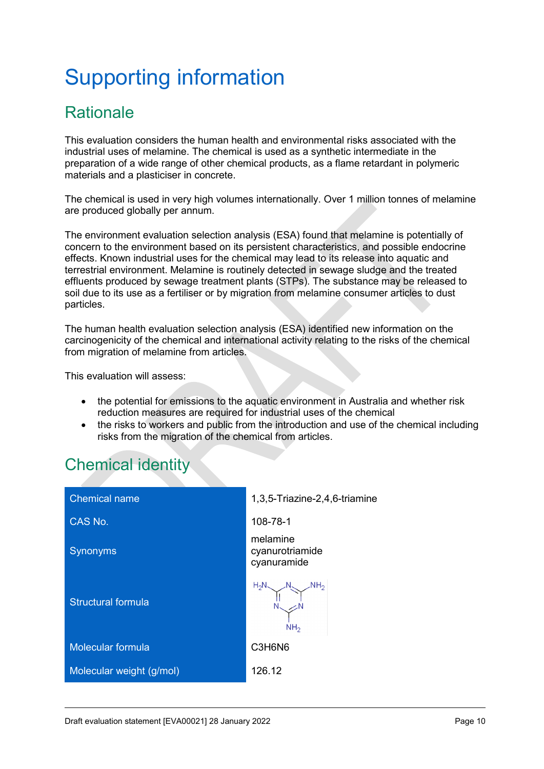# <span id="page-9-0"></span>Supporting information

# <span id="page-9-1"></span>**Rationale**

This evaluation considers the human health and environmental risks associated with the industrial uses of melamine. The chemical is used as a synthetic intermediate in the preparation of a wide range of other chemical products, as a flame retardant in polymeric materials and a plasticiser in concrete.

The chemical is used in very high volumes internationally. Over 1 million tonnes of melamine are produced globally per annum.

The environment evaluation selection analysis (ESA) found that melamine is potentially of concern to the environment based on its persistent characteristics, and possible endocrine effects. Known industrial uses for the chemical may lead to its release into aquatic and terrestrial environment. Melamine is routinely detected in sewage sludge and the treated effluents produced by sewage treatment plants (STPs). The substance may be released to soil due to its use as a fertiliser or by migration from melamine consumer articles to dust particles.

The human health evaluation selection analysis (ESA) identified new information on the carcinogenicity of the chemical and international activity relating to the risks of the chemical from migration of melamine from articles.

This evaluation will assess:

- the potential for emissions to the aquatic environment in Australia and whether risk reduction measures are required for industrial uses of the chemical
- the risks to workers and public from the introduction and use of the chemical including risks from the migration of the chemical from articles.

# <span id="page-9-2"></span>Chemical identity

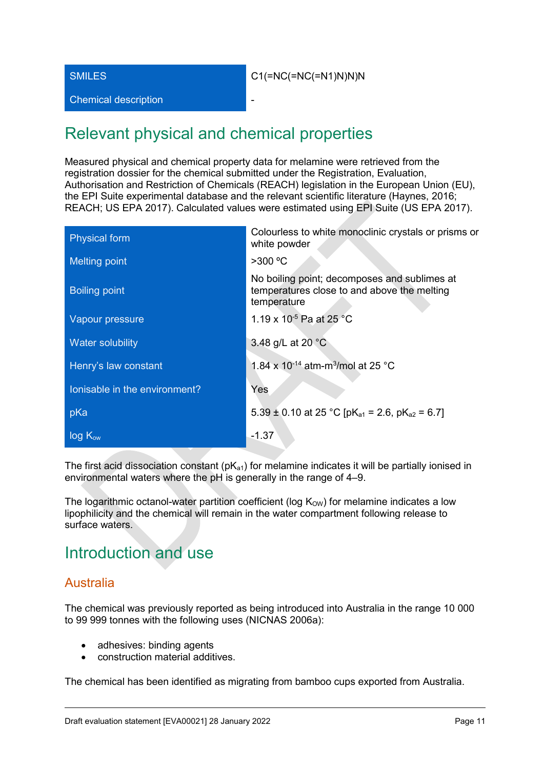Chemical description

# <span id="page-10-0"></span>Relevant physical and chemical properties

Measured physical and chemical property data for melamine were retrieved from the registration dossier for the chemical submitted under the Registration, Evaluation, Authorisation and Restriction of Chemicals (REACH) legislation in the European Union (EU), the EPI Suite experimental database and the relevant scientific literature (Haynes, 2016; REACH; US EPA 2017). Calculated values were estimated using EPI Suite (US EPA 2017).

| <b>Physical form</b>          | Colourless to white monoclinic crystals or prisms or<br>white powder                                       |
|-------------------------------|------------------------------------------------------------------------------------------------------------|
| <b>Melting point</b>          | $>300$ °C                                                                                                  |
| <b>Boiling point</b>          | No boiling point; decomposes and sublimes at<br>temperatures close to and above the melting<br>temperature |
| Vapour pressure               | 1.19 x 10 <sup>-5</sup> Pa at 25 °C                                                                        |
| Water solubility              | 3.48 g/L at 20 °C                                                                                          |
| Henry's law constant          | 1.84 x 10 <sup>-14</sup> atm-m <sup>3</sup> /mol at 25 °C                                                  |
| lonisable in the environment? | Yes                                                                                                        |
| pKa                           | 5.39 ± 0.10 at 25 °C [pK <sub>a1</sub> = 2.6, pK <sub>a2</sub> = 6.7]                                      |
| $log K_{ow}$                  | $-1.37$                                                                                                    |

The first acid dissociation constant  $(pK_{a1})$  for melamine indicates it will be partially ionised in environmental waters where the pH is generally in the range of 4–9.

The logarithmic octanol-water partition coefficient (log  $K_{\text{OW}}$ ) for melamine indicates a low lipophilicity and the chemical will remain in the water compartment following release to surface waters.

# <span id="page-10-1"></span>Introduction and use

# <span id="page-10-2"></span>Australia

The chemical was previously reported as being introduced into Australia in the range 10 000 to 99 999 tonnes with the following uses (NICNAS 2006a):

- adhesives: binding agents
- construction material additives.

The chemical has been identified as migrating from bamboo cups exported from Australia.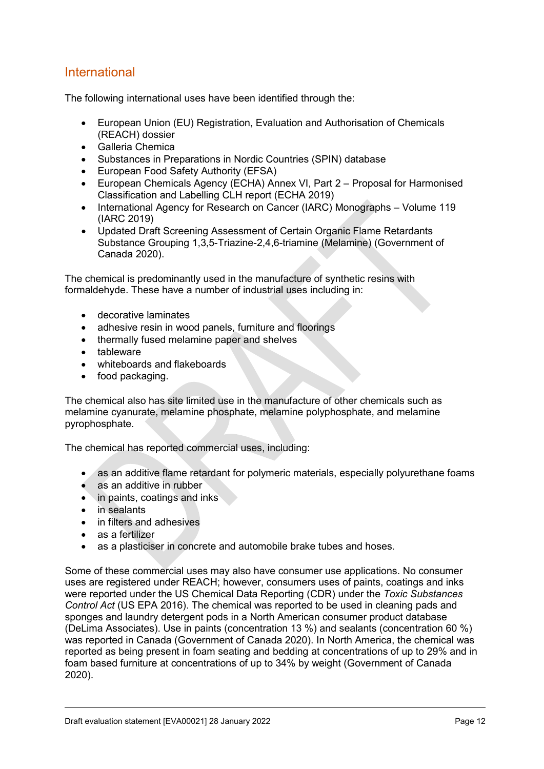# <span id="page-11-0"></span>International

The following international uses have been identified through the:

- European Union (EU) Registration, Evaluation and Authorisation of Chemicals (REACH) dossier
- Galleria Chemica
- Substances in Preparations in Nordic Countries (SPIN) database
- European Food Safety Authority (EFSA)
- European Chemicals Agency (ECHA) Annex VI, Part 2 Proposal for Harmonised Classification and Labelling CLH report (ECHA 2019)
- International Agency for Research on Cancer (IARC) Monographs Volume 119 (IARC 2019)
- Updated Draft Screening Assessment of Certain Organic Flame Retardants Substance Grouping 1,3,5-Triazine-2,4,6-triamine (Melamine) (Government of Canada 2020).

The chemical is predominantly used in the manufacture of synthetic resins with formaldehyde. These have a number of industrial uses including in:

- decorative laminates
- adhesive resin in wood panels, furniture and floorings
- thermally fused melamine paper and shelves
- tableware
- whiteboards and flakeboards
- food packaging.

The chemical also has site limited use in the manufacture of other chemicals such as melamine cyanurate, melamine phosphate, melamine polyphosphate, and melamine pyrophosphate.

The chemical has reported commercial uses, including:

- as an additive flame retardant for polymeric materials, especially polyurethane foams
- as an additive in rubber
- in paints, coatings and inks
- in sealants
- in filters and adhesives
- as a fertilizer
- as a plasticiser in concrete and automobile brake tubes and hoses.

Some of these commercial uses may also have consumer use applications. No consumer uses are registered under REACH; however, consumers uses of paints, coatings and inks were reported under the US Chemical Data Reporting (CDR) under the *Toxic Substances Control Act* (US EPA 2016). The chemical was reported to be used in cleaning pads and sponges and laundry detergent pods in a North American consumer product database (DeLima Associates). Use in paints (concentration 13 %) and sealants (concentration 60 %) was reported in Canada (Government of Canada 2020). In North America, the chemical was reported as being present in foam seating and bedding at concentrations of up to 29% and in foam based furniture at concentrations of up to 34% by weight (Government of Canada 2020).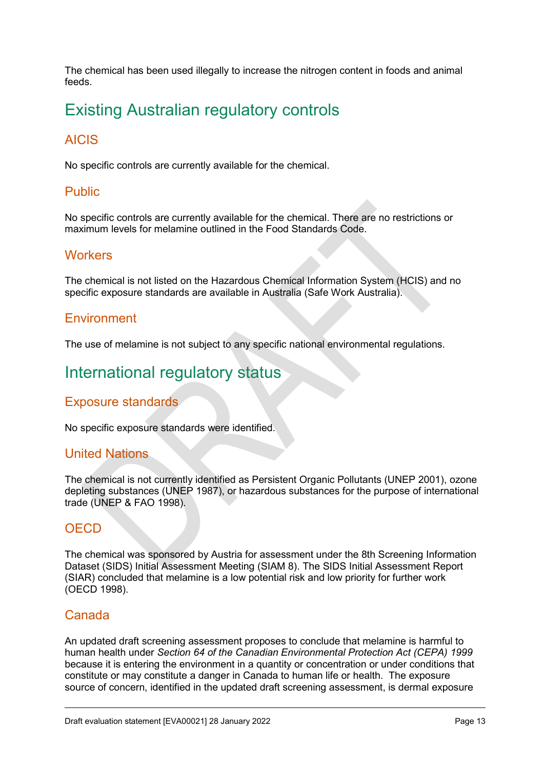The chemical has been used illegally to increase the nitrogen content in foods and animal feeds.

# <span id="page-12-0"></span>Existing Australian regulatory controls

# <span id="page-12-1"></span>AICIS

No specific controls are currently available for the chemical.

### <span id="page-12-2"></span>Public

No specific controls are currently available for the chemical. There are no restrictions or maximum levels for melamine outlined in the Food Standards Code.

### <span id="page-12-3"></span>**Workers**

The chemical is not listed on the Hazardous Chemical Information System (HCIS) and no specific exposure standards are available in Australia (Safe Work Australia).

### <span id="page-12-4"></span>Environment

The use of melamine is not subject to any specific national environmental regulations.

# <span id="page-12-5"></span>International regulatory status

### <span id="page-12-6"></span>Exposure standards

No specific exposure standards were identified. 

#### <span id="page-12-7"></span>United Nations

The chemical is not currently identified as Persistent Organic Pollutants (UNEP 2001), ozone depleting substances (UNEP 1987), or hazardous substances for the purpose of international trade (UNEP & FAO 1998).

# <span id="page-12-8"></span>**OECD**

The chemical was sponsored by Austria for assessment under the 8th Screening Information Dataset (SIDS) Initial Assessment Meeting (SIAM 8). The SIDS Initial Assessment Report (SIAR) concluded that melamine is a low potential risk and low priority for further work (OECD 1998).

#### <span id="page-12-9"></span>Canada

An updated draft screening assessment proposes to conclude that melamine is harmful to human health under *Section 64 of the Canadian Environmental Protection Act (CEPA) 1999* because it is entering the environment in a quantity or concentration or under conditions that constitute or may constitute a danger in Canada to human life or health. The exposure source of concern, identified in the updated draft screening assessment, is dermal exposure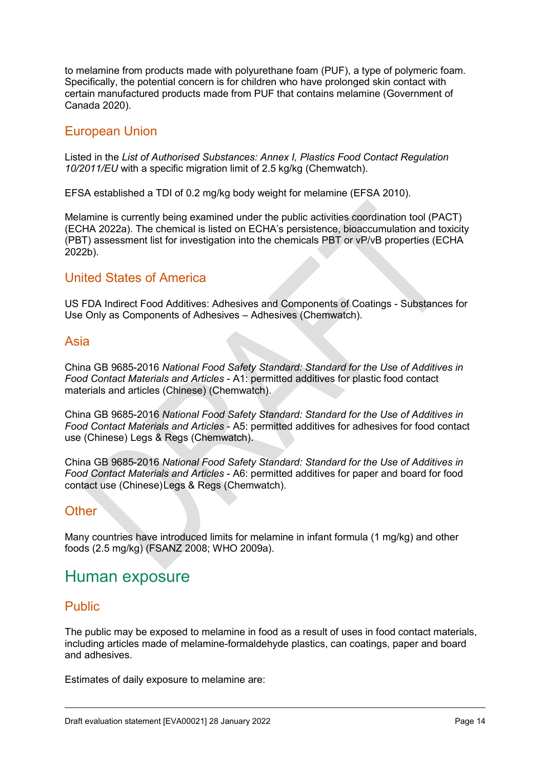to melamine from products made with polyurethane foam (PUF), a type of polymeric foam. Specifically, the potential concern is for children who have prolonged skin contact with certain manufactured products made from PUF that contains melamine (Government of Canada 2020).

### <span id="page-13-0"></span>European Union

Listed in the *List of Authorised Substances: Annex I, Plastics Food Contact Regulation 10/2011/EU* with a specific migration limit of 2.5 kg/kg (Chemwatch).

EFSA established a TDI of 0.2 mg/kg body weight for melamine (EFSA 2010).

Melamine is currently being examined under the public activities coordination tool (PACT) (ECHA 2022a). The chemical is listed on ECHA's persistence, bioaccumulation and toxicity (PBT) assessment list for investigation into the chemicals PBT or vP/vB properties (ECHA 2022b).

### <span id="page-13-1"></span>United States of America

US FDA Indirect Food Additives: Adhesives and Components of Coatings - Substances for Use Only as Components of Adhesives – Adhesives (Chemwatch).

### <span id="page-13-2"></span>Asia

China GB 9685-2016 *National Food Safety Standard: Standard for the Use of Additives in Food Contact Materials and Articles* - A1: permitted additives for plastic food contact materials and articles (Chinese) (Chemwatch).

China GB 9685-2016 *National Food Safety Standard: Standard for the Use of Additives in Food Contact Materials and Articles* - A5: permitted additives for adhesives for food contact use (Chinese) Legs & Regs (Chemwatch).

China GB 9685-2016 *National Food Safety Standard: Standard for the Use of Additives in Food Contact Materials and Articles* - A6: permitted additives for paper and board for food contact use (Chinese)Legs & Regs (Chemwatch).

### <span id="page-13-3"></span>**Other**

Many countries have introduced limits for melamine in infant formula (1 mg/kg) and other foods (2.5 mg/kg) (FSANZ 2008; WHO 2009a).

# <span id="page-13-4"></span>Human exposure

### <span id="page-13-5"></span>Public

The public may be exposed to melamine in food as a result of uses in food contact materials, including articles made of melamine-formaldehyde plastics, can coatings, paper and board and adhesives.

Estimates of daily exposure to melamine are: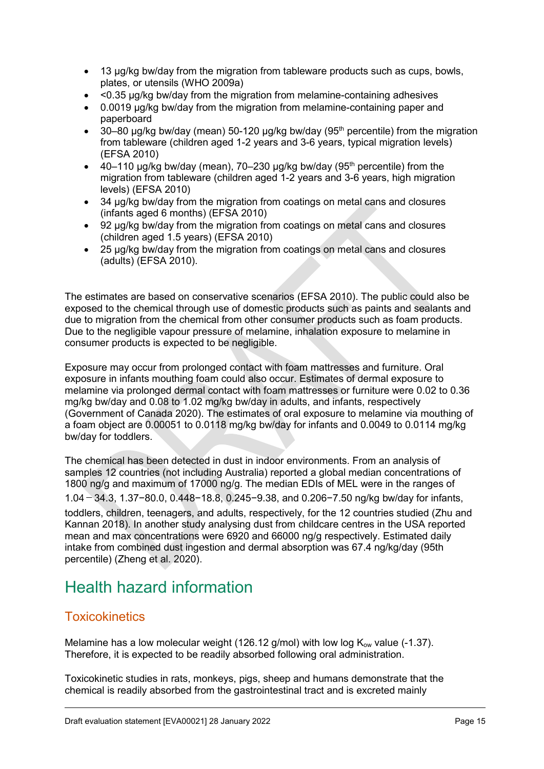- 13 µg/kg bw/day from the migration from tableware products such as cups, bowls, plates, or utensils (WHO 2009a)
- <0.35 µg/kg bw/day from the migration from melamine-containing adhesives
- 0.0019 ug/kg bw/day from the migration from melamine-containing paper and paperboard
- 30–80  $\mu$ g/kg bw/day (mean) 50-120  $\mu$ g/kg bw/day (95<sup>th</sup> percentile) from the migration from tableware (children aged 1-2 years and 3-6 years, typical migration levels) (EFSA 2010)
- $\bullet$  40–110 µg/kg bw/day (mean), 70–230 µg/kg bw/day (95<sup>th</sup> percentile) from the migration from tableware (children aged 1-2 years and 3-6 years, high migration levels) (EFSA 2010)
- 34 µg/kg bw/day from the migration from coatings on metal cans and closures (infants aged 6 months) (EFSA 2010)
- 92 µg/kg bw/day from the migration from coatings on metal cans and closures (children aged 1.5 years) (EFSA 2010)
- 25 µg/kg bw/day from the migration from coatings on metal cans and closures (adults) (EFSA 2010).

The estimates are based on conservative scenarios (EFSA 2010). The public could also be exposed to the chemical through use of domestic products such as paints and sealants and due to migration from the chemical from other consumer products such as foam products. Due to the negligible vapour pressure of melamine, inhalation exposure to melamine in consumer products is expected to be negligible.

Exposure may occur from prolonged contact with foam mattresses and furniture. Oral exposure in infants mouthing foam could also occur. Estimates of dermal exposure to melamine via prolonged dermal contact with foam mattresses or furniture were 0.02 to 0.36 mg/kg bw/day and 0.08 to 1.02 mg/kg bw/day in adults, and infants, respectively (Government of Canada 2020). The estimates of oral exposure to melamine via mouthing of a foam object are 0.00051 to 0.0118 mg/kg bw/day for infants and 0.0049 to 0.0114 mg/kg bw/day for toddlers.

The chemical has been detected in dust in indoor environments. From an analysis of samples 12 countries (not including Australia) reported a global median concentrations of 1800 ng/g and maximum of 17000 ng/g. The median EDIs of MEL were in the ranges of 1.04-34.3, 1.37−80.0, 0.448−18.8, 0.245−9.38, and 0.206−7.50 ng/kg bw/day for infants, toddlers, children, teenagers, and adults, respectively, for the 12 countries studied (Zhu and Kannan 2018). In another study analysing dust from childcare centres in the USA reported mean and max concentrations were 6920 and 66000 ng/g respectively. Estimated daily intake from combined dust ingestion and dermal absorption was 67.4 ng/kg/day (95th percentile) (Zheng et al. 2020).

# <span id="page-14-0"></span>Health hazard information

# <span id="page-14-1"></span>**Toxicokinetics**

Melamine has a low molecular weight (126.12 g/mol) with low log  $K_{ow}$  value (-1.37). Therefore, it is expected to be readily absorbed following oral administration.

Toxicokinetic studies in rats, monkeys, pigs, sheep and humans demonstrate that the chemical is readily absorbed from the gastrointestinal tract and is excreted mainly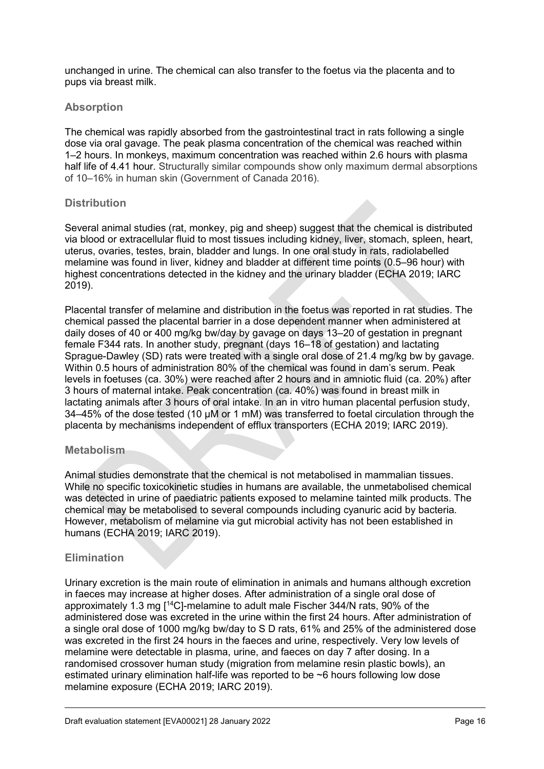unchanged in urine. The chemical can also transfer to the foetus via the placenta and to pups via breast milk.

#### **Absorption**

The chemical was rapidly absorbed from the gastrointestinal tract in rats following a single dose via oral gavage. The peak plasma concentration of the chemical was reached within 1–2 hours. In monkeys, maximum concentration was reached within 2.6 hours with plasma half life of 4.41 hour. Structurally similar compounds show only maximum dermal absorptions of 10–16% in human skin (Government of Canada 2016).

#### **Distribution**

Several animal studies (rat, monkey, pig and sheep) suggest that the chemical is distributed via blood or extracellular fluid to most tissues including kidney, liver, stomach, spleen, heart, uterus, ovaries, testes, brain, bladder and lungs. In one oral study in rats, radiolabelled melamine was found in liver, kidney and bladder at different time points (0.5–96 hour) with highest concentrations detected in the kidney and the urinary bladder (ECHA 2019; IARC 2019).

Placental transfer of melamine and distribution in the foetus was reported in rat studies. The chemical passed the placental barrier in a dose dependent manner when administered at daily doses of 40 or 400 mg/kg bw/day by gavage on days 13–20 of gestation in pregnant female F344 rats. In another study, pregnant (days 16–18 of gestation) and lactating Sprague-Dawley (SD) rats were treated with a single oral dose of 21.4 mg/kg bw by gavage. Within 0.5 hours of administration 80% of the chemical was found in dam's serum. Peak levels in foetuses (ca. 30%) were reached after 2 hours and in amniotic fluid (ca. 20%) after 3 hours of maternal intake. Peak concentration (ca. 40%) was found in breast milk in lactating animals after 3 hours of oral intake. In an in vitro human placental perfusion study, 34–45% of the dose tested (10 µM or 1 mM) was transferred to foetal circulation through the placenta by mechanisms independent of efflux transporters (ECHA 2019; IARC 2019).

#### **Metabolism**

Animal studies demonstrate that the chemical is not metabolised in mammalian tissues. While no specific toxicokinetic studies in humans are available, the unmetabolised chemical was detected in urine of paediatric patients exposed to melamine tainted milk products. The chemical may be metabolised to several compounds including cyanuric acid by bacteria. However, metabolism of melamine via gut microbial activity has not been established in humans (ECHA 2019; IARC 2019).

#### **Elimination**

Urinary excretion is the main route of elimination in animals and humans although excretion in faeces may increase at higher doses. After administration of a single oral dose of approximately 1.3 mg [14C]-melamine to adult male Fischer 344/N rats, 90% of the administered dose was excreted in the urine within the first 24 hours. After administration of a single oral dose of 1000 mg/kg bw/day to S D rats, 61% and 25% of the administered dose was excreted in the first 24 hours in the faeces and urine, respectively. Very low levels of melamine were detectable in plasma, urine, and faeces on day 7 after dosing. In a randomised crossover human study (migration from melamine resin plastic bowls), an estimated urinary elimination half-life was reported to be ~6 hours following low dose melamine exposure (ECHA 2019; IARC 2019).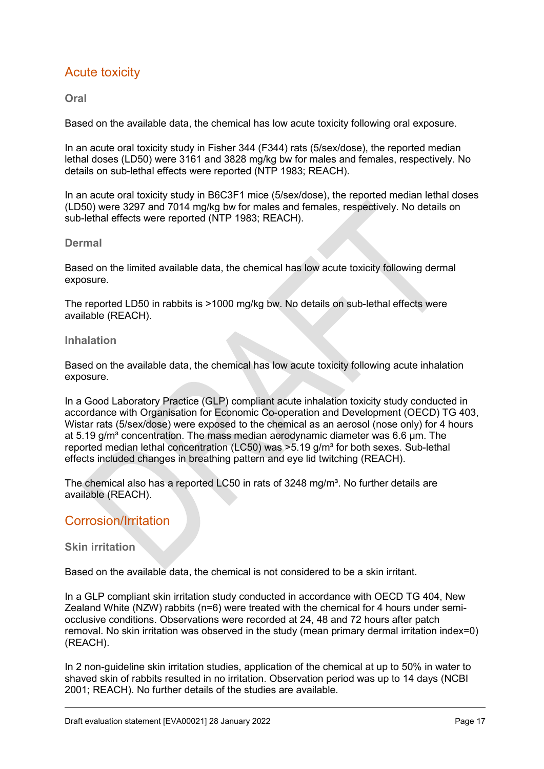# <span id="page-16-0"></span>Acute toxicity

#### **Oral**

Based on the available data, the chemical has low acute toxicity following oral exposure.

In an acute oral toxicity study in Fisher 344 (F344) rats (5/sex/dose), the reported median lethal doses (LD50) were 3161 and 3828 mg/kg bw for males and females, respectively. No details on sub-lethal effects were reported (NTP 1983; REACH).

In an acute oral toxicity study in B6C3F1 mice (5/sex/dose), the reported median lethal doses (LD50) were 3297 and 7014 mg/kg bw for males and females, respectively. No details on sub-lethal effects were reported (NTP 1983; REACH).

#### **Dermal**

Based on the limited available data, the chemical has low acute toxicity following dermal exposure.

The reported LD50 in rabbits is >1000 mg/kg bw. No details on sub-lethal effects were available (REACH).

#### **Inhalation**

Based on the available data, the chemical has low acute toxicity following acute inhalation exposure.

In a Good Laboratory Practice (GLP) compliant acute inhalation toxicity study conducted in accordance with Organisation for Economic Co-operation and Development (OECD) TG 403, Wistar rats (5/sex/dose) were exposed to the chemical as an aerosol (nose only) for 4 hours at  $5.19$  g/m<sup>3</sup> concentration. The mass median aerodynamic diameter was  $6.6$  µm. The reported median lethal concentration (LC50) was  $>5.19$  g/m<sup>3</sup> for both sexes. Sub-lethal effects included changes in breathing pattern and eye lid twitching (REACH).

The chemical also has a reported LC50 in rats of 3248 mg/m<sup>3</sup>. No further details are available (REACH).

### <span id="page-16-1"></span>Corrosion/Irritation

#### **Skin irritation**

Based on the available data, the chemical is not considered to be a skin irritant.

In a GLP compliant skin irritation study conducted in accordance with OECD TG 404, New Zealand White (NZW) rabbits (n=6) were treated with the chemical for 4 hours under semiocclusive conditions. Observations were recorded at 24, 48 and 72 hours after patch removal. No skin irritation was observed in the study (mean primary dermal irritation index=0) (REACH).

In 2 non-guideline skin irritation studies, application of the chemical at up to 50% in water to shaved skin of rabbits resulted in no irritation. Observation period was up to 14 days (NCBI 2001; REACH). No further details of the studies are available.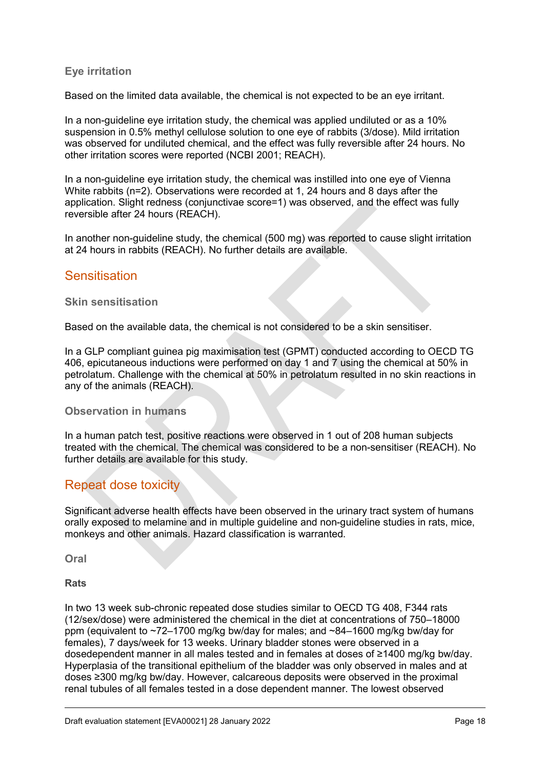#### **Eye irritation**

Based on the limited data available, the chemical is not expected to be an eye irritant.

In a non-guideline eye irritation study, the chemical was applied undiluted or as a 10% suspension in 0.5% methyl cellulose solution to one eye of rabbits (3/dose). Mild irritation was observed for undiluted chemical, and the effect was fully reversible after 24 hours. No other irritation scores were reported (NCBI 2001; REACH).

In a non-guideline eye irritation study, the chemical was instilled into one eye of Vienna White rabbits (n=2). Observations were recorded at 1, 24 hours and 8 days after the application. Slight redness (conjunctivae score=1) was observed, and the effect was fully reversible after 24 hours (REACH).

In another non-guideline study, the chemical (500 mg) was reported to cause slight irritation at 24 hours in rabbits (REACH). No further details are available.

#### <span id="page-17-0"></span>**Sensitisation**

#### **Skin sensitisation**

Based on the available data, the chemical is not considered to be a skin sensitiser.

In a GLP compliant guinea pig maximisation test (GPMT) conducted according to OECD TG 406, epicutaneous inductions were performed on day 1 and 7 using the chemical at 50% in petrolatum. Challenge with the chemical at 50% in petrolatum resulted in no skin reactions in any of the animals (REACH).

#### **Observation in humans**

In a human patch test, positive reactions were observed in 1 out of 208 human subjects treated with the chemical. The chemical was considered to be a non-sensitiser (REACH). No further details are available for this study.

#### <span id="page-17-1"></span>Repeat dose toxicity

Significant adverse health effects have been observed in the urinary tract system of humans orally exposed to melamine and in multiple guideline and non-guideline studies in rats, mice, monkeys and other animals. Hazard classification is warranted.

**Oral**

**Rats**

In two 13 week sub-chronic repeated dose studies similar to OECD TG 408, F344 rats (12/sex/dose) were administered the chemical in the diet at concentrations of 750–18000 ppm (equivalent to ~72–1700 mg/kg bw/day for males; and ~84–1600 mg/kg bw/day for females), 7 days/week for 13 weeks. Urinary bladder stones were observed in a dosedependent manner in all males tested and in females at doses of ≥1400 mg/kg bw/day. Hyperplasia of the transitional epithelium of the bladder was only observed in males and at doses ≥300 mg/kg bw/day. However, calcareous deposits were observed in the proximal renal tubules of all females tested in a dose dependent manner. The lowest observed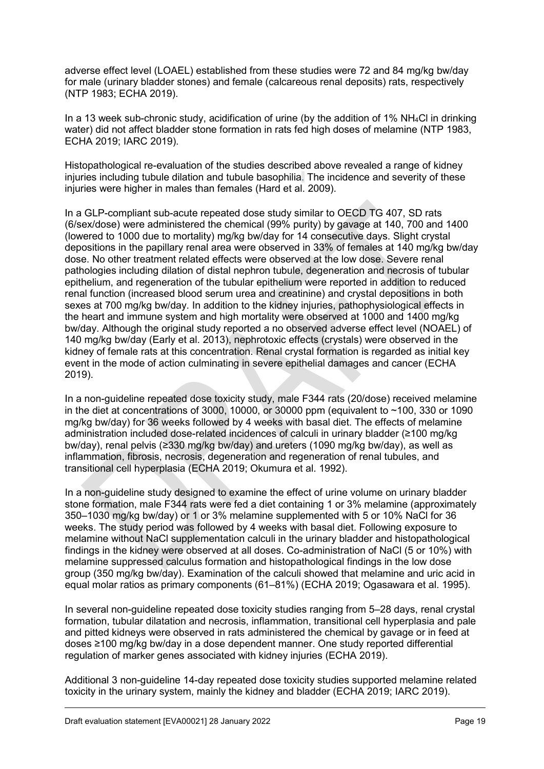adverse effect level (LOAEL) established from these studies were 72 and 84 mg/kg bw/day for male (urinary bladder stones) and female (calcareous renal deposits) rats, respectively (NTP 1983; ECHA 2019).

In a 13 week sub-chronic study, acidification of urine (by the addition of 1% NH4Cl in drinking water) did not affect bladder stone formation in rats fed high doses of melamine (NTP 1983, ECHA 2019; IARC 2019).

Histopathological re-evaluation of the studies described above revealed a range of kidney injuries including tubule dilation and tubule basophilia. The incidence and severity of these injuries were higher in males than females (Hard et al. 2009).

In a GLP-compliant sub-acute repeated dose study similar to OECD TG 407, SD rats (6/sex/dose) were administered the chemical (99% purity) by gavage at 140, 700 and 1400 (lowered to 1000 due to mortality) mg/kg bw/day for 14 consecutive days. Slight crystal depositions in the papillary renal area were observed in 33% of females at 140 mg/kg bw/day dose. No other treatment related effects were observed at the low dose. Severe renal pathologies including dilation of distal nephron tubule, degeneration and necrosis of tubular epithelium, and regeneration of the tubular epithelium were reported in addition to reduced renal function (increased blood serum urea and creatinine) and crystal depositions in both sexes at 700 mg/kg bw/day. In addition to the kidney injuries, pathophysiological effects in the heart and immune system and high mortality were observed at 1000 and 1400 mg/kg bw/day. Although the original study reported a no observed adverse effect level (NOAEL) of 140 mg/kg bw/day (Early et al. 2013), nephrotoxic effects (crystals) were observed in the kidney of female rats at this concentration. Renal crystal formation is regarded as initial key event in the mode of action culminating in severe epithelial damages and cancer (ECHA 2019).

In a non-guideline repeated dose toxicity study, male F344 rats (20/dose) received melamine in the diet at concentrations of  $3000$ ,  $10000$ , or  $30000$  ppm (equivalent to  $~100$ ,  $330$  or  $1090$ mg/kg bw/day) for 36 weeks followed by 4 weeks with basal diet. The effects of melamine administration included dose-related incidences of calculi in urinary bladder (≥100 mg/kg bw/day), renal pelvis (≥330 mg/kg bw/day) and ureters (1090 mg/kg bw/day), as well as inflammation, fibrosis, necrosis, degeneration and regeneration of renal tubules, and transitional cell hyperplasia (ECHA 2019; Okumura et al. 1992).

In a non-guideline study designed to examine the effect of urine volume on urinary bladder stone formation, male F344 rats were fed a diet containing 1 or 3% melamine (approximately 350–1030 mg/kg bw/day) or 1 or 3% melamine supplemented with 5 or 10% NaCl for 36 weeks. The study period was followed by 4 weeks with basal diet. Following exposure to melamine without NaCl supplementation calculi in the urinary bladder and histopathological findings in the kidney were observed at all doses. Co-administration of NaCl (5 or 10%) with melamine suppressed calculus formation and histopathological findings in the low dose group (350 mg/kg bw/day). Examination of the calculi showed that melamine and uric acid in equal molar ratios as primary components (61–81%) (ECHA 2019; Ogasawara et al. 1995).

In several non-guideline repeated dose toxicity studies ranging from 5–28 days, renal crystal formation, tubular dilatation and necrosis, inflammation, transitional cell hyperplasia and pale and pitted kidneys were observed in rats administered the chemical by gavage or in feed at doses ≥100 mg/kg bw/day in a dose dependent manner. One study reported differential regulation of marker genes associated with kidney injuries (ECHA 2019).

Additional 3 non-guideline 14-day repeated dose toxicity studies supported melamine related toxicity in the urinary system, mainly the kidney and bladder (ECHA 2019; IARC 2019).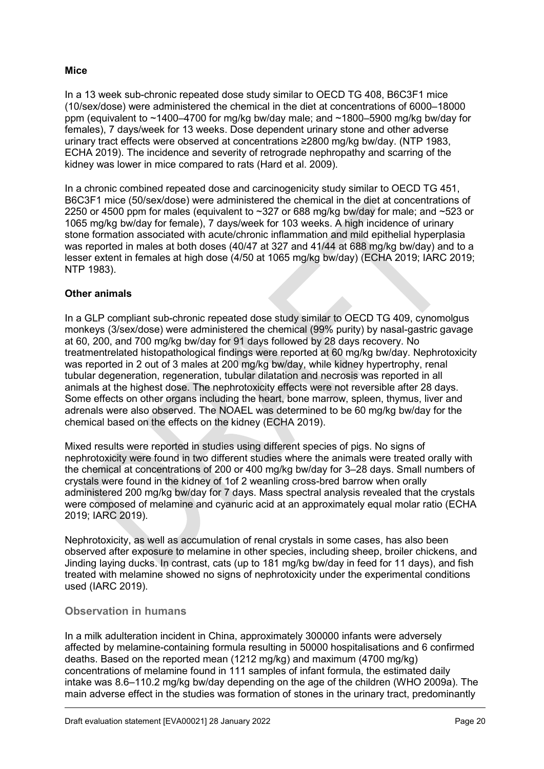#### **Mice**

In a 13 week sub-chronic repeated dose study similar to OECD TG 408, B6C3F1 mice (10/sex/dose) were administered the chemical in the diet at concentrations of 6000–18000 ppm (equivalent to ~1400–4700 for mg/kg bw/day male; and ~1800–5900 mg/kg bw/day for females), 7 days/week for 13 weeks. Dose dependent urinary stone and other adverse urinary tract effects were observed at concentrations ≥2800 mg/kg bw/day. (NTP 1983, ECHA 2019). The incidence and severity of retrograde nephropathy and scarring of the kidney was lower in mice compared to rats (Hard et al. 2009).

In a chronic combined repeated dose and carcinogenicity study similar to OECD TG 451, B6C3F1 mice (50/sex/dose) were administered the chemical in the diet at concentrations of 2250 or 4500 ppm for males (equivalent to ~327 or 688 mg/kg bw/day for male; and ~523 or 1065 mg/kg bw/day for female), 7 days/week for 103 weeks. A high incidence of urinary stone formation associated with acute/chronic inflammation and mild epithelial hyperplasia was reported in males at both doses (40/47 at 327 and 41/44 at 688 mg/kg bw/day) and to a lesser extent in females at high dose (4/50 at 1065 mg/kg bw/day) (ECHA 2019; IARC 2019; NTP 1983).

#### **Other animals**

In a GLP compliant sub-chronic repeated dose study similar to OECD TG 409, cynomolgus monkeys (3/sex/dose) were administered the chemical (99% purity) by nasal-gastric gavage at 60, 200, and 700 mg/kg bw/day for 91 days followed by 28 days recovery. No treatmentrelated histopathological findings were reported at 60 mg/kg bw/day. Nephrotoxicity was reported in 2 out of 3 males at 200 mg/kg bw/day, while kidney hypertrophy, renal tubular degeneration, regeneration, tubular dilatation and necrosis was reported in all animals at the highest dose. The nephrotoxicity effects were not reversible after 28 days. Some effects on other organs including the heart, bone marrow, spleen, thymus, liver and adrenals were also observed. The NOAEL was determined to be 60 mg/kg bw/day for the chemical based on the effects on the kidney (ECHA 2019).

Mixed results were reported in studies using different species of pigs. No signs of nephrotoxicity were found in two different studies where the animals were treated orally with the chemical at concentrations of 200 or 400 mg/kg bw/day for 3–28 days. Small numbers of crystals were found in the kidney of 1of 2 weanling cross-bred barrow when orally administered 200 mg/kg bw/day for 7 days. Mass spectral analysis revealed that the crystals were composed of melamine and cyanuric acid at an approximately equal molar ratio (ECHA 2019; IARC 2019).

Nephrotoxicity, as well as accumulation of renal crystals in some cases, has also been observed after exposure to melamine in other species, including sheep, broiler chickens, and Jinding laying ducks. In contrast, cats (up to 181 mg/kg bw/day in feed for 11 days), and fish treated with melamine showed no signs of nephrotoxicity under the experimental conditions used (IARC 2019).

#### **Observation in humans**

In a milk adulteration incident in China, approximately 300000 infants were adversely affected by melamine-containing formula resulting in 50000 hospitalisations and 6 confirmed deaths. Based on the reported mean (1212 mg/kg) and maximum (4700 mg/kg) concentrations of melamine found in 111 samples of infant formula, the estimated daily intake was 8.6–110.2 mg/kg bw/day depending on the age of the children (WHO 2009a). The main adverse effect in the studies was formation of stones in the urinary tract, predominantly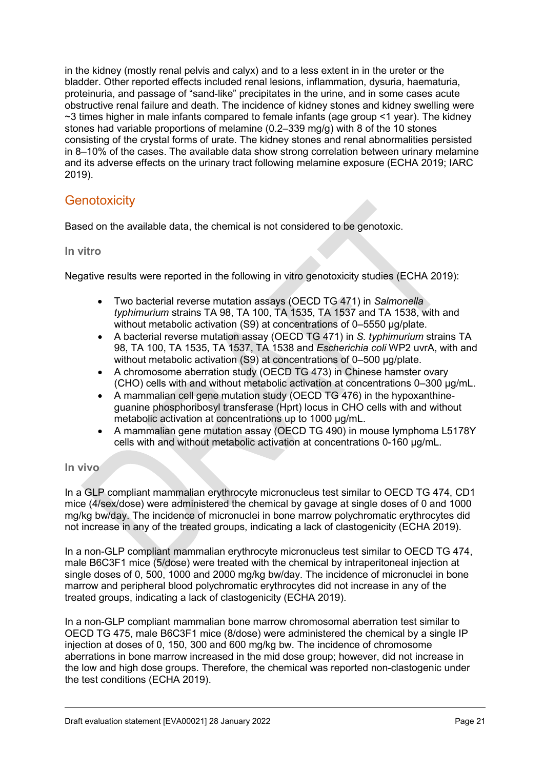in the kidney (mostly renal pelvis and calyx) and to a less extent in in the ureter or the bladder. Other reported effects included renal lesions, inflammation, dysuria, haematuria, proteinuria, and passage of "sand-like" precipitates in the urine, and in some cases acute obstructive renal failure and death. The incidence of kidney stones and kidney swelling were ~3 times higher in male infants compared to female infants (age group <1 year). The kidney stones had variable proportions of melamine (0.2–339 mg/g) with 8 of the 10 stones consisting of the crystal forms of urate. The kidney stones and renal abnormalities persisted in 8–10% of the cases. The available data show strong correlation between urinary melamine and its adverse effects on the urinary tract following melamine exposure (ECHA 2019; IARC 2019).

# <span id="page-20-0"></span>**Genotoxicity**

Based on the available data, the chemical is not considered to be genotoxic.

**In vitro**

Negative results were reported in the following in vitro genotoxicity studies (ECHA 2019):

- Two bacterial reverse mutation assays (OECD TG 471) in *Salmonella typhimurium* strains TA 98, TA 100, TA 1535, TA 1537 and TA 1538, with and without metabolic activation (S9) at concentrations of 0–5550 μg/plate.
- A bacterial reverse mutation assay (OECD TG 471) in *S. typhimurium* strains TA 98, TA 100, TA 1535, TA 1537, TA 1538 and *Escherichia coli* WP2 uvrA, with and without metabolic activation (S9) at concentrations of 0–500 μg/plate.
- A chromosome aberration study (OECD TG 473) in Chinese hamster ovary (CHO) cells with and without metabolic activation at concentrations 0–300 μg/mL.
- A mammalian cell gene mutation study (OECD TG 476) in the hypoxanthineguanine phosphoribosyl transferase (Hprt) locus in CHO cells with and without metabolic activation at concentrations up to 1000 μg/mL.
- A mammalian gene mutation assay (OECD TG 490) in mouse lymphoma L5178Y cells with and without metabolic activation at concentrations 0-160 μg/mL.

#### **In vivo**

In a GLP compliant mammalian erythrocyte micronucleus test similar to OECD TG 474, CD1 mice (4/sex/dose) were administered the chemical by gavage at single doses of 0 and 1000 mg/kg bw/day. The incidence of micronuclei in bone marrow polychromatic erythrocytes did not increase in any of the treated groups, indicating a lack of clastogenicity (ECHA 2019).

In a non-GLP compliant mammalian erythrocyte micronucleus test similar to OECD TG 474, male B6C3F1 mice (5/dose) were treated with the chemical by intraperitoneal injection at single doses of 0, 500, 1000 and 2000 mg/kg bw/day. The incidence of micronuclei in bone marrow and peripheral blood polychromatic erythrocytes did not increase in any of the treated groups, indicating a lack of clastogenicity (ECHA 2019).

In a non-GLP compliant mammalian bone marrow chromosomal aberration test similar to OECD TG 475, male B6C3F1 mice (8/dose) were administered the chemical by a single IP injection at doses of 0, 150, 300 and 600 mg/kg bw. The incidence of chromosome aberrations in bone marrow increased in the mid dose group; however, did not increase in the low and high dose groups. Therefore, the chemical was reported non-clastogenic under the test conditions (ECHA 2019).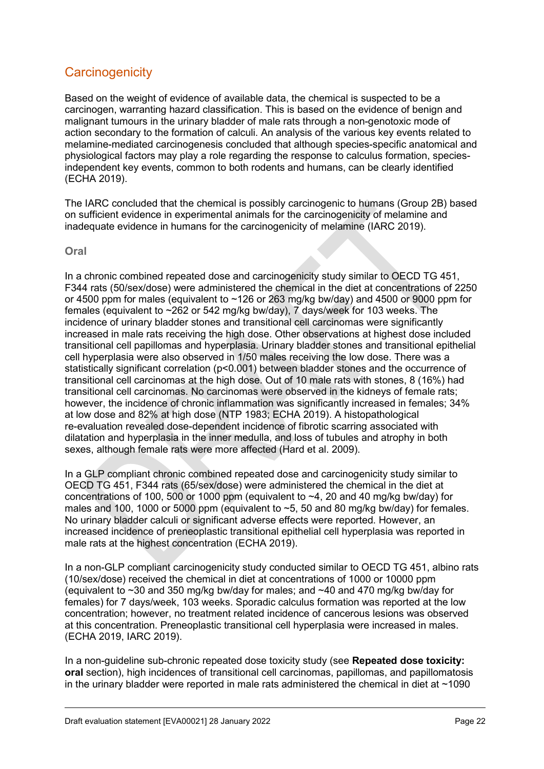# <span id="page-21-0"></span>**Carcinogenicity**

Based on the weight of evidence of available data, the chemical is suspected to be a carcinogen, warranting hazard classification. This is based on the evidence of benign and malignant tumours in the urinary bladder of male rats through a non-genotoxic mode of action secondary to the formation of calculi. An analysis of the various key events related to melamine-mediated carcinogenesis concluded that although species-specific anatomical and physiological factors may play a role regarding the response to calculus formation, speciesindependent key events, common to both rodents and humans, can be clearly identified (ECHA 2019).

The IARC concluded that the chemical is possibly carcinogenic to humans (Group 2B) based on sufficient evidence in experimental animals for the carcinogenicity of melamine and inadequate evidence in humans for the carcinogenicity of melamine (IARC 2019).

**Oral**

In a chronic combined repeated dose and carcinogenicity study similar to OECD TG 451. F344 rats (50/sex/dose) were administered the chemical in the diet at concentrations of 2250 or 4500 ppm for males (equivalent to ~126 or 263 mg/kg bw/day) and 4500 or 9000 ppm for females (equivalent to ~262 or 542 mg/kg bw/day), 7 days/week for 103 weeks. The incidence of urinary bladder stones and transitional cell carcinomas were significantly increased in male rats receiving the high dose. Other observations at highest dose included transitional cell papillomas and hyperplasia. Urinary bladder stones and transitional epithelial cell hyperplasia were also observed in 1/50 males receiving the low dose. There was a statistically significant correlation ( $p<0.001$ ) between bladder stones and the occurrence of transitional cell carcinomas at the high dose. Out of 10 male rats with stones, 8 (16%) had transitional cell carcinomas. No carcinomas were observed in the kidneys of female rats; however, the incidence of chronic inflammation was significantly increased in females; 34% at low dose and 82% at high dose (NTP 1983; ECHA 2019). A histopathological re-evaluation revealed dose-dependent incidence of fibrotic scarring associated with dilatation and hyperplasia in the inner medulla, and loss of tubules and atrophy in both sexes, although female rats were more affected (Hard et al. 2009).

In a GLP compliant chronic combined repeated dose and carcinogenicity study similar to OECD TG 451, F344 rats (65/sex/dose) were administered the chemical in the diet at concentrations of 100, 500 or 1000 ppm (equivalent to  $\sim$  4, 20 and 40 mg/kg bw/day) for males and 100, 1000 or 5000 ppm (equivalent to  $\sim$ 5, 50 and 80 mg/kg bw/day) for females. No urinary bladder calculi or significant adverse effects were reported. However, an increased incidence of preneoplastic transitional epithelial cell hyperplasia was reported in male rats at the highest concentration (ECHA 2019).

In a non-GLP compliant carcinogenicity study conducted similar to OECD TG 451, albino rats (10/sex/dose) received the chemical in diet at concentrations of 1000 or 10000 ppm (equivalent to ~30 and 350 mg/kg bw/day for males; and ~40 and 470 mg/kg bw/day for females) for 7 days/week, 103 weeks. Sporadic calculus formation was reported at the low concentration; however, no treatment related incidence of cancerous lesions was observed at this concentration. Preneoplastic transitional cell hyperplasia were increased in males. (ECHA 2019, IARC 2019).

In a non-guideline sub-chronic repeated dose toxicity study (see **Repeated dose toxicity: oral** section), high incidences of transitional cell carcinomas, papillomas, and papillomatosis in the urinary bladder were reported in male rats administered the chemical in diet at  $\sim$ 1090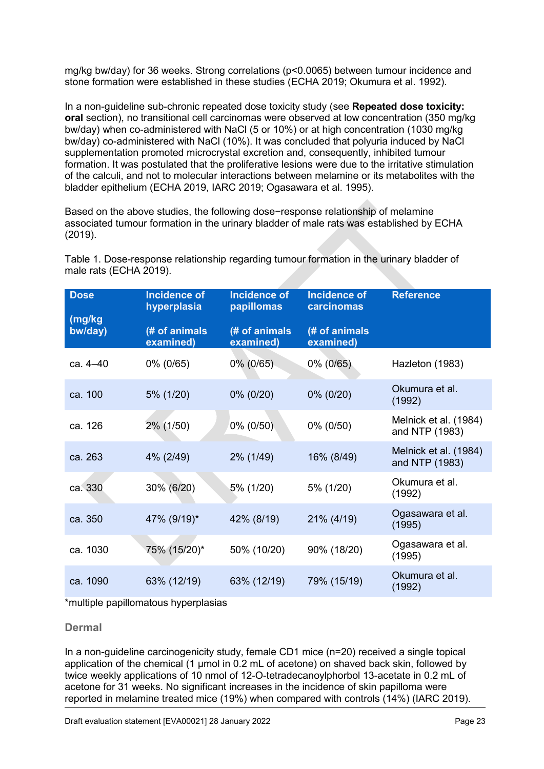mg/kg bw/day) for 36 weeks. Strong correlations (p<0.0065) between tumour incidence and stone formation were established in these studies (ECHA 2019; Okumura et al. 1992).

In a non-guideline sub-chronic repeated dose toxicity study (see **Repeated dose toxicity: oral** section), no transitional cell carcinomas were observed at low concentration (350 mg/kg bw/day) when co-administered with NaCl (5 or 10%) or at high concentration (1030 mg/kg bw/day) co-administered with NaCl (10%). It was concluded that polyuria induced by NaCl supplementation promoted microcrystal excretion and, consequently, inhibited tumour formation. It was postulated that the proliferative lesions were due to the irritative stimulation of the calculi, and not to molecular interactions between melamine or its metabolites with the bladder epithelium (ECHA 2019, IARC 2019; Ogasawara et al. 1995).

Based on the above studies, the following dose−response relationship of melamine associated tumour formation in the urinary bladder of male rats was established by ECHA (2019).

| <b>Dose</b>       | <b>Incidence of</b><br>hyperplasia | <b>Incidence of</b><br>papillomas | <b>Incidence of</b><br>carcinomas | <b>Reference</b>                        |
|-------------------|------------------------------------|-----------------------------------|-----------------------------------|-----------------------------------------|
| (mg/kg<br>bw/day) | (# of animals<br>examined)         | (# of animals<br>examined)        | (# of animals<br>examined)        |                                         |
| ca. $4 - 40$      | 0% (0/65)                          | $0\%$ (0/65)                      | $0\%$ (0/65)                      | Hazleton (1983)                         |
| ca. 100           | 5% (1/20)                          | $0\%$ (0/20)                      | 0% (0/20)                         | Okumura et al.<br>(1992)                |
| ca. 126           | 2% (1/50)                          | 0% (0/50)                         | 0% (0/50)                         | Melnick et al. (1984)<br>and NTP (1983) |
| ca. 263           | 4% (2/49)                          | $2\%$ (1/49)                      | 16% (8/49)                        | Melnick et al. (1984)<br>and NTP (1983) |
| ca. 330           | 30% (6/20)                         | 5% (1/20)                         | 5% (1/20)                         | Okumura et al.<br>(1992)                |
| ca. 350           | 47% (9/19)*                        | 42% (8/19)                        | 21% (4/19)                        | Ogasawara et al.<br>(1995)              |
| ca. 1030          | 75% (15/20)*                       | 50% (10/20)                       | 90% (18/20)                       | Ogasawara et al.<br>(1995)              |
| ca. 1090          | 63% (12/19)                        | 63% (12/19)                       | 79% (15/19)                       | Okumura et al.<br>(1992)                |

Table 1. Dose-response relationship regarding tumour formation in the urinary bladder of male rats (ECHA 2019).

\*multiple papillomatous hyperplasias

#### **Dermal**

In a non-guideline carcinogenicity study, female CD1 mice (n=20) received a single topical application of the chemical (1 μmol in 0.2 mL of acetone) on shaved back skin, followed by twice weekly applications of 10 nmol of 12-O-tetradecanoylphorbol 13-acetate in 0.2 mL of acetone for 31 weeks. No significant increases in the incidence of skin papilloma were reported in melamine treated mice (19%) when compared with controls (14%) (IARC 2019).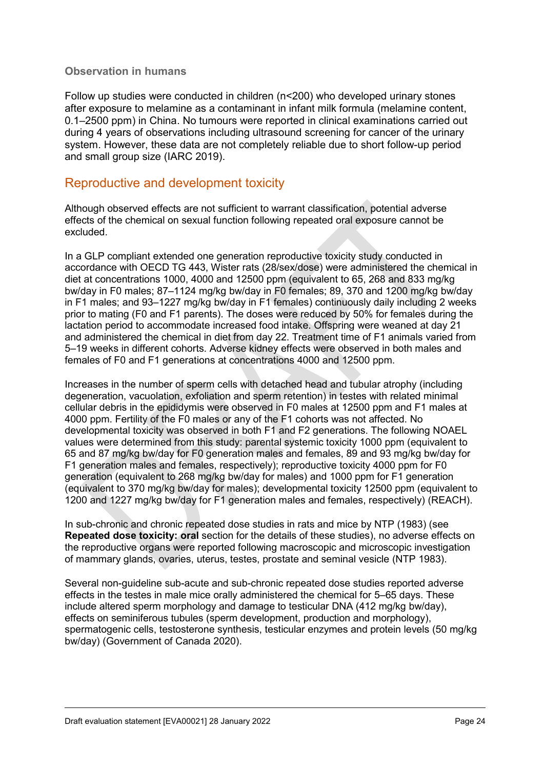#### **Observation in humans**

Follow up studies were conducted in children (n<200) who developed urinary stones after exposure to melamine as a contaminant in infant milk formula (melamine content, 0.1–2500 ppm) in China. No tumours were reported in clinical examinations carried out during 4 years of observations including ultrasound screening for cancer of the urinary system. However, these data are not completely reliable due to short follow-up period and small group size (IARC 2019).

### <span id="page-23-0"></span>Reproductive and development toxicity

Although observed effects are not sufficient to warrant classification, potential adverse effects of the chemical on sexual function following repeated oral exposure cannot be excluded.

In a GLP compliant extended one generation reproductive toxicity study conducted in accordance with OECD TG 443, Wister rats (28/sex/dose) were administered the chemical in diet at concentrations 1000, 4000 and 12500 ppm (equivalent to 65, 268 and 833 mg/kg bw/day in F0 males; 87–1124 mg/kg bw/day in F0 females; 89, 370 and 1200 mg/kg bw/day in F1 males; and 93–1227 mg/kg bw/day in F1 females) continuously daily including 2 weeks prior to mating (F0 and F1 parents). The doses were reduced by 50% for females during the lactation period to accommodate increased food intake. Offspring were weaned at day 21 and administered the chemical in diet from day 22. Treatment time of F1 animals varied from 5–19 weeks in different cohorts. Adverse kidney effects were observed in both males and females of F0 and F1 generations at concentrations 4000 and 12500 ppm.

Increases in the number of sperm cells with detached head and tubular atrophy (including degeneration, vacuolation, exfoliation and sperm retention) in testes with related minimal cellular debris in the epididymis were observed in F0 males at 12500 ppm and F1 males at 4000 ppm. Fertility of the F0 males or any of the F1 cohorts was not affected. No developmental toxicity was observed in both F1 and F2 generations. The following NOAEL values were determined from this study: parental systemic toxicity 1000 ppm (equivalent to 65 and 87 mg/kg bw/day for F0 generation males and females, 89 and 93 mg/kg bw/day for F1 generation males and females, respectively); reproductive toxicity 4000 ppm for F0 generation (equivalent to 268 mg/kg bw/day for males) and 1000 ppm for F1 generation (equivalent to 370 mg/kg bw/day for males); developmental toxicity 12500 ppm (equivalent to 1200 and 1227 mg/kg bw/day for F1 generation males and females, respectively) (REACH).

In sub-chronic and chronic repeated dose studies in rats and mice by NTP (1983) (see **Repeated dose toxicity: oral** section for the details of these studies), no adverse effects on the reproductive organs were reported following macroscopic and microscopic investigation of mammary glands, ovaries, uterus, testes, prostate and seminal vesicle (NTP 1983).

Several non-guideline sub-acute and sub-chronic repeated dose studies reported adverse effects in the testes in male mice orally administered the chemical for 5–65 days. These include altered sperm morphology and damage to testicular DNA (412 mg/kg bw/day), effects on seminiferous tubules (sperm development, production and morphology), spermatogenic cells, testosterone synthesis, testicular enzymes and protein levels (50 mg/kg bw/day) (Government of Canada 2020).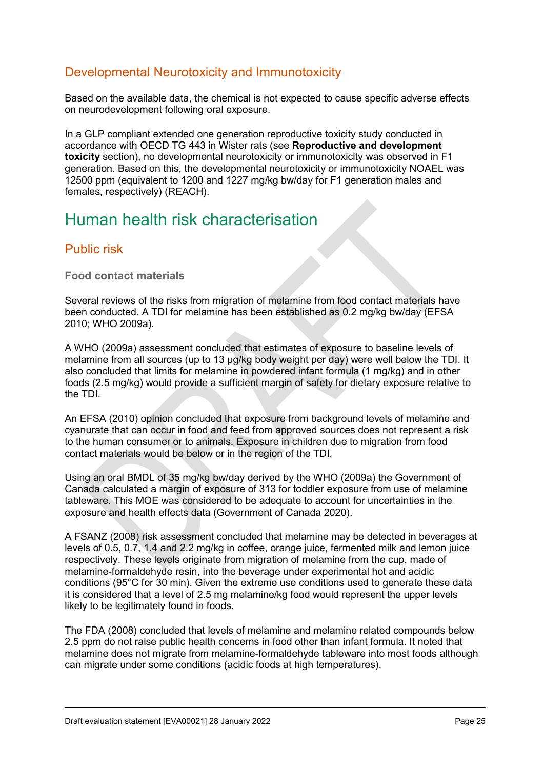### <span id="page-24-0"></span>Developmental Neurotoxicity and Immunotoxicity

Based on the available data, the chemical is not expected to cause specific adverse effects on neurodevelopment following oral exposure.

In a GLP compliant extended one generation reproductive toxicity study conducted in accordance with OECD TG 443 in Wister rats (see **Reproductive and development toxicity** section), no developmental neurotoxicity or immunotoxicity was observed in F1 generation. Based on this, the developmental neurotoxicity or immunotoxicity NOAEL was 12500 ppm (equivalent to 1200 and 1227 mg/kg bw/day for F1 generation males and females, respectively) (REACH).

# <span id="page-24-1"></span>Human health risk characterisation

### <span id="page-24-2"></span>Public risk

**Food contact materials** 

Several reviews of the risks from migration of melamine from food contact materials have been conducted. A TDI for melamine has been established as 0.2 mg/kg bw/day (EFSA 2010; WHO 2009a).

A WHO (2009a) assessment concluded that estimates of exposure to baseline levels of melamine from all sources (up to 13 µg/kg body weight per day) were well below the TDI. It also concluded that limits for melamine in powdered infant formula (1 mg/kg) and in other foods (2.5 mg/kg) would provide a sufficient margin of safety for dietary exposure relative to the TDI.

An EFSA (2010) opinion concluded that exposure from background levels of melamine and cyanurate that can occur in food and feed from approved sources does not represent a risk to the human consumer or to animals. Exposure in children due to migration from food contact materials would be below or in the region of the TDI.

Using an oral BMDL of 35 mg/kg bw/day derived by the WHO (2009a) the Government of Canada calculated a margin of exposure of 313 for toddler exposure from use of melamine tableware. This MOE was considered to be adequate to account for uncertainties in the exposure and health effects data (Government of Canada 2020).

A FSANZ (2008) risk assessment concluded that melamine may be detected in beverages at levels of 0.5, 0.7, 1.4 and 2.2 mg/kg in coffee, orange juice, fermented milk and lemon juice respectively. These levels originate from migration of melamine from the cup, made of melamine-formaldehyde resin, into the beverage under experimental hot and acidic conditions (95°C for 30 min). Given the extreme use conditions used to generate these data it is considered that a level of 2.5 mg melamine/kg food would represent the upper levels likely to be legitimately found in foods.

The FDA (2008) concluded that levels of melamine and melamine related compounds below 2.5 ppm do not raise public health concerns in food other than infant formula. It noted that melamine does not migrate from melamine-formaldehyde tableware into most foods although can migrate under some conditions (acidic foods at high temperatures).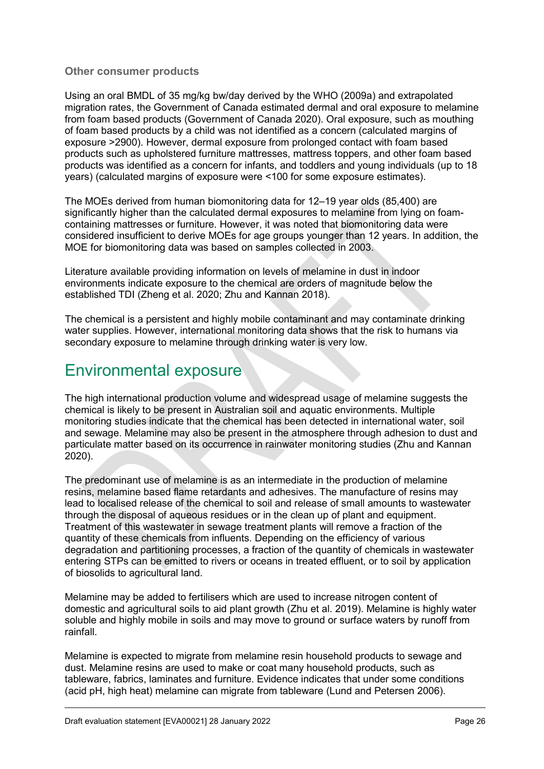#### **Other consumer products**

Using an oral BMDL of 35 mg/kg bw/day derived by the WHO (2009a) and extrapolated migration rates, the Government of Canada estimated dermal and oral exposure to melamine from foam based products (Government of Canada 2020). Oral exposure, such as mouthing of foam based products by a child was not identified as a concern (calculated margins of exposure >2900). However, dermal exposure from prolonged contact with foam based products such as upholstered furniture mattresses, mattress toppers, and other foam based products was identified as a concern for infants, and toddlers and young individuals (up to 18 years) (calculated margins of exposure were <100 for some exposure estimates).

The MOEs derived from human biomonitoring data for 12–19 year olds (85,400) are significantly higher than the calculated dermal exposures to melamine from lying on foamcontaining mattresses or furniture. However, it was noted that biomonitoring data were considered insufficient to derive MOEs for age groups younger than 12 years. In addition, the MOE for biomonitoring data was based on samples collected in 2003.

Literature available providing information on levels of melamine in dust in indoor environments indicate exposure to the chemical are orders of magnitude below the established TDI (Zheng et al. 2020; Zhu and Kannan 2018).

The chemical is a persistent and highly mobile contaminant and may contaminate drinking water supplies. However, international monitoring data shows that the risk to humans via secondary exposure to melamine through drinking water is very low.

# <span id="page-25-0"></span>Environmental exposure

The high international production volume and widespread usage of melamine suggests the chemical is likely to be present in Australian soil and aquatic environments. Multiple monitoring studies indicate that the chemical has been detected in international water, soil and sewage. Melamine may also be present in the atmosphere through adhesion to dust and particulate matter based on its occurrence in rainwater monitoring studies (Zhu and Kannan 2020).

The predominant use of melamine is as an intermediate in the production of melamine resins, melamine based flame retardants and adhesives. The manufacture of resins may lead to localised release of the chemical to soil and release of small amounts to wastewater through the disposal of aqueous residues or in the clean up of plant and equipment. Treatment of this wastewater in sewage treatment plants will remove a fraction of the quantity of these chemicals from influents. Depending on the efficiency of various degradation and partitioning processes, a fraction of the quantity of chemicals in wastewater entering STPs can be emitted to rivers or oceans in treated effluent, or to soil by application of biosolids to agricultural land.

Melamine may be added to fertilisers which are used to increase nitrogen content of domestic and agricultural soils to aid plant growth (Zhu et al. 2019). Melamine is highly water soluble and highly mobile in soils and may move to ground or surface waters by runoff from rainfall.

Melamine is expected to migrate from melamine resin household products to sewage and dust. Melamine resins are used to make or coat many household products, such as tableware, fabrics, laminates and furniture. Evidence indicates that under some conditions (acid pH, high heat) melamine can migrate from tableware (Lund and Petersen 2006).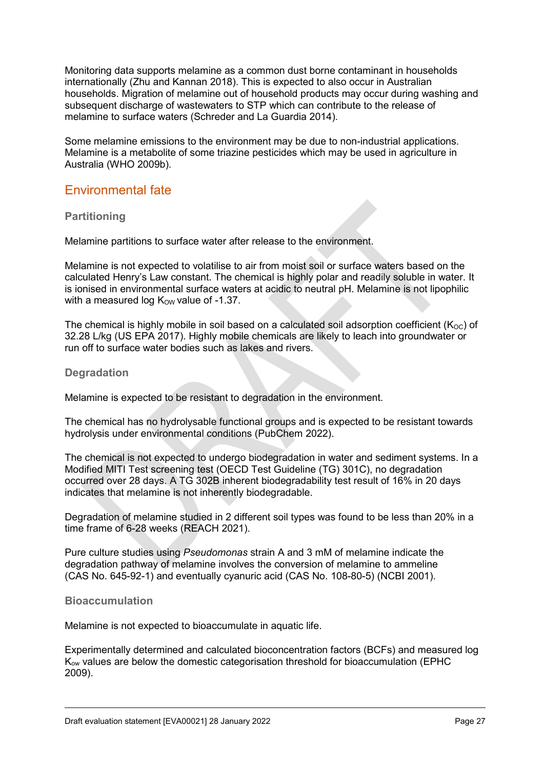Monitoring data supports melamine as a common dust borne contaminant in households internationally (Zhu and Kannan 2018). This is expected to also occur in Australian households. Migration of melamine out of household products may occur during washing and subsequent discharge of wastewaters to STP which can contribute to the release of melamine to surface waters (Schreder and La Guardia 2014).

Some melamine emissions to the environment may be due to non-industrial applications. Melamine is a metabolite of some triazine pesticides which may be used in agriculture in Australia (WHO 2009b).

### <span id="page-26-0"></span>Environmental fate

#### **Partitioning**

Melamine partitions to surface water after release to the environment.

Melamine is not expected to volatilise to air from moist soil or surface waters based on the calculated Henry's Law constant. The chemical is highly polar and readily soluble in water. It is ionised in environmental surface waters at acidic to neutral pH. Melamine is not lipophilic with a measured log  $K_{OW}$  value of -1.37.

The chemical is highly mobile in soil based on a calculated soil adsorption coefficient ( $K_{OC}$ ) of 32.28 L/kg (US EPA 2017). Highly mobile chemicals are likely to leach into groundwater or run off to surface water bodies such as lakes and rivers.

#### **Degradation**

Melamine is expected to be resistant to degradation in the environment.

The chemical has no hydrolysable functional groups and is expected to be resistant towards hydrolysis under environmental conditions (PubChem 2022).

The chemical is not expected to undergo biodegradation in water and sediment systems. In a Modified MITI Test screening test (OECD Test Guideline (TG) 301C), no degradation occurred over 28 days. A TG 302B inherent biodegradability test result of 16% in 20 days indicates that melamine is not inherently biodegradable.

Degradation of melamine studied in 2 different soil types was found to be less than 20% in a time frame of 6-28 weeks (REACH 2021).

Pure culture studies using *Pseudomonas* strain A and 3 mM of melamine indicate the degradation pathway of melamine involves the conversion of melamine to ammeline (CAS No. 645-92-1) and eventually cyanuric acid (CAS No. 108-80-5) (NCBI 2001).

#### **Bioaccumulation**

Melamine is not expected to bioaccumulate in aquatic life.

Experimentally determined and calculated bioconcentration factors (BCFs) and measured log Kow values are below the domestic categorisation threshold for bioaccumulation (EPHC 2009).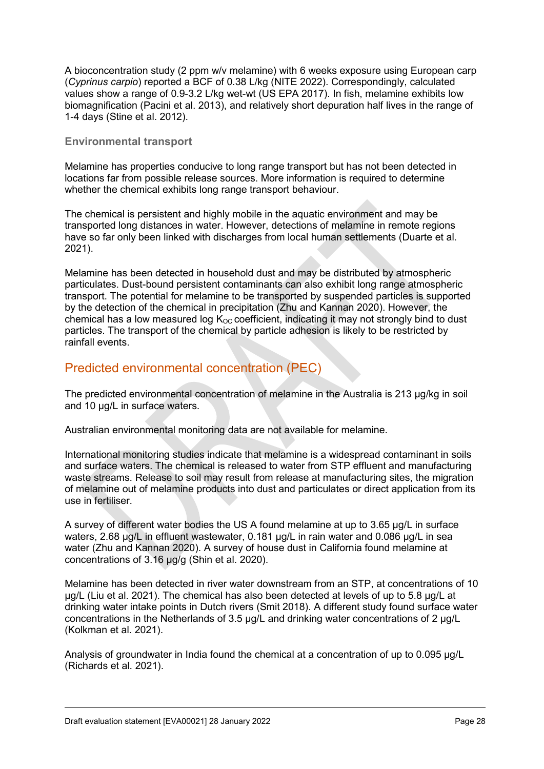A bioconcentration study (2 ppm w/v melamine) with 6 weeks exposure using European carp (*Cyprinus carpio*) reported a BCF of 0.38 L/kg (NITE 2022). Correspondingly, calculated values show a range of 0.9-3.2 L/kg wet-wt (US EPA 2017). In fish, melamine exhibits low biomagnification (Pacini et al. 2013), and relatively short depuration half lives in the range of 1-4 days (Stine et al. 2012).

#### **Environmental transport**

Melamine has properties conducive to long range transport but has not been detected in locations far from possible release sources. More information is required to determine whether the chemical exhibits long range transport behaviour.

The chemical is persistent and highly mobile in the aquatic environment and may be transported long distances in water. However, detections of melamine in remote regions have so far only been linked with discharges from local human settlements (Duarte et al. 2021).

Melamine has been detected in household dust and may be distributed by atmospheric particulates. Dust-bound persistent contaminants can also exhibit long range atmospheric transport. The potential for melamine to be transported by suspended particles is supported by the detection of the chemical in precipitation (Zhu and Kannan 2020). However, the chemical has a low measured log  $K_{OC}$  coefficient, indicating it may not strongly bind to dust particles. The transport of the chemical by particle adhesion is likely to be restricted by rainfall events.

### <span id="page-27-0"></span>Predicted environmental concentration (PEC)

The predicted environmental concentration of melamine in the Australia is 213 µg/kg in soil and 10 µg/L in surface waters.

Australian environmental monitoring data are not available for melamine.

International monitoring studies indicate that melamine is a widespread contaminant in soils and surface waters. The chemical is released to water from STP effluent and manufacturing waste streams. Release to soil may result from release at manufacturing sites, the migration of melamine out of melamine products into dust and particulates or direct application from its use in fertiliser.

A survey of different water bodies the US A found melamine at up to 3.65 µg/L in surface waters, 2.68 ug/L in effluent wastewater, 0.181 ug/L in rain water and 0.086 ug/L in sea water (Zhu and Kannan 2020). A survey of house dust in California found melamine at concentrations of 3.16 µg/g (Shin et al. 2020).

Melamine has been detected in river water downstream from an STP, at concentrations of 10 µg/L (Liu et al. 2021). The chemical has also been detected at levels of up to 5.8 μg/L at drinking water intake points in Dutch rivers (Smit 2018). A different study found surface water concentrations in the Netherlands of 3.5 µg/L and drinking water concentrations of 2 µg/L (Kolkman et al. 2021).

Analysis of groundwater in India found the chemical at a concentration of up to 0.095 μg/L (Richards et al. 2021).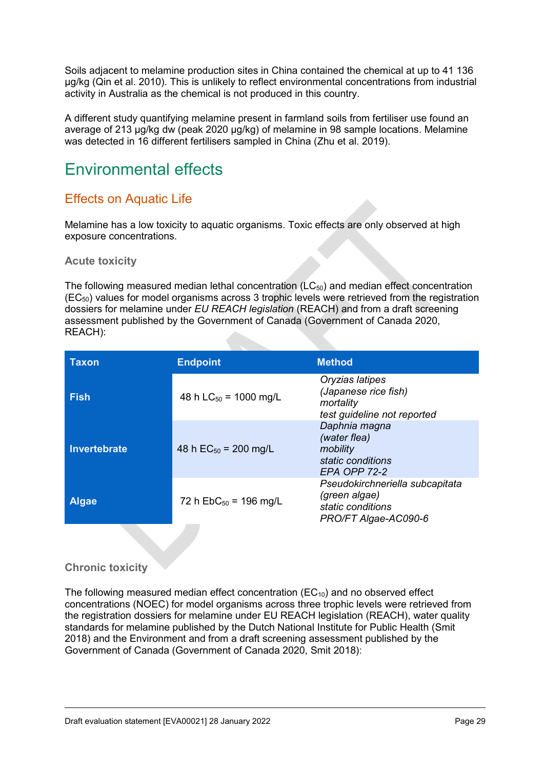Soils adjacent to melamine production sites in China contained the chemical at up to 41 136 µg/kg (Qin et al. 2010). This is unlikely to reflect environmental concentrations from industrial activity in Australia as the chemical is not produced in this country.

A different study quantifying melamine present in farmland soils from fertiliser use found an average of 213 µg/kg dw (peak 2020 µg/kg) of melamine in 98 sample locations. Melamine was detected in 16 different fertilisers sampled in China (Zhu et al. 2019).

# <span id="page-28-0"></span>Environmental effects

# <span id="page-28-1"></span>Effects on Aquatic Life

Melamine has a low toxicity to aquatic organisms. Toxic effects are only observed at high exposure concentrations.

#### **Acute toxicity**

The following measured median lethal concentration  $(LC_{50})$  and median effect concentration  $(EC_{50})$  values for model organisms across 3 trophic levels were retrieved from the registration dossiers for melamine under *EU REACH legislation* (REACH) and from a draft screening assessment published by the Government of Canada (Government of Canada 2020, REACH):

| <b>Taxon</b> | <b>Endpoint</b>            | <b>Method</b>                                                                                 |  |
|--------------|----------------------------|-----------------------------------------------------------------------------------------------|--|
| <b>Fish</b>  | 48 h $LC_{50}$ = 1000 mg/L | Oryzias latipes<br>(Japanese rice fish)<br>mortality<br>test guideline not reported           |  |
| Invertebrate | 48 h $EC_{50}$ = 200 mg/L  | Daphnia magna<br>(water flea)<br>mobility<br>static conditions<br><b>EPA OPP 72-2</b>         |  |
| <b>Algae</b> | 72 h $EbC_{50}$ = 196 mg/L | Pseudokirchneriella subcapitata<br>(green algae)<br>static conditions<br>PRO/FT Algae-AC090-6 |  |

#### **Chronic toxicity**

The following measured median effect concentration  $(EC_{10})$  and no observed effect concentrations (NOEC) for model organisms across three trophic levels were retrieved from the registration dossiers for melamine under EU REACH legislation (REACH), water quality standards for melamine published by the Dutch National Institute for Public Health (Smit 2018) and the Environment and from a draft screening assessment published by the Government of Canada (Government of Canada 2020, Smit 2018):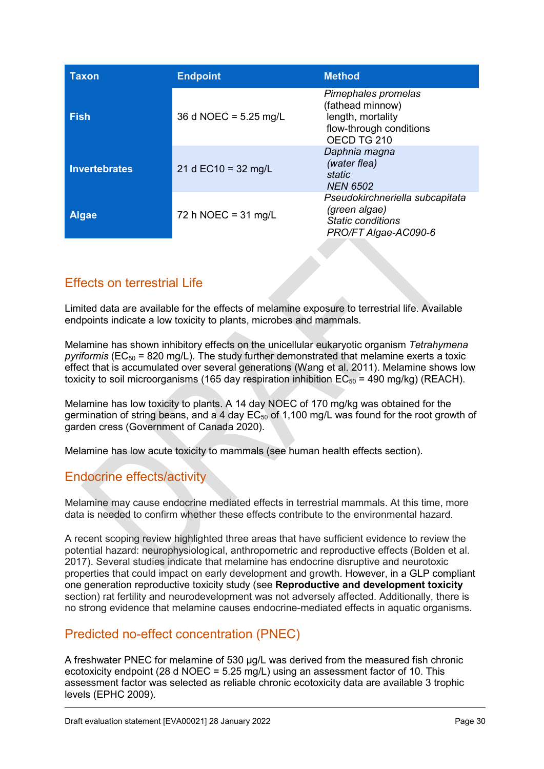| Taxon                | <b>Endpoint</b>                 | <b>Method</b>                                                                                          |
|----------------------|---------------------------------|--------------------------------------------------------------------------------------------------------|
| <b>Fish</b>          | 36 d NOEC = $5.25 \text{ mg/L}$ | Pimephales promelas<br>(fathead minnow)<br>length, mortality<br>flow-through conditions<br>OECD TG 210 |
| <b>Invertebrates</b> | 21 d $EC$ 10 = 32 mg/L          | Daphnia magna<br>(water flea)<br>static<br><b>NEN 6502</b>                                             |
| <b>Algae</b>         | 72 h NOEC = $31 \text{ mg/L}$   | Pseudokirchneriella subcapitata<br>(green algae)<br><b>Static conditions</b><br>PRO/FT Algae-AC090-6   |

# <span id="page-29-0"></span>Effects on terrestrial Life

Limited data are available for the effects of melamine exposure to terrestrial life. Available endpoints indicate a low toxicity to plants, microbes and mammals.

Melamine has shown inhibitory effects on the unicellular eukaryotic organism *Tetrahymena pyriformis* (EC50 = 820 mg/L). The study further demonstrated that melamine exerts a toxic effect that is accumulated over several generations (Wang et al. 2011). Melamine shows low toxicity to soil microorganisms (165 day respiration inhibition  $EC_{50} = 490$  mg/kg) (REACH).

Melamine has low toxicity to plants. A 14 day NOEC of 170 mg/kg was obtained for the germination of string beans, and a 4 day  $EC_{50}$  of 1,100 mg/L was found for the root growth of garden cress (Government of Canada 2020).

Melamine has low acute toxicity to mammals (see human health effects section).

# <span id="page-29-1"></span>Endocrine effects/activity

Melamine may cause endocrine mediated effects in terrestrial mammals. At this time, more data is needed to confirm whether these effects contribute to the environmental hazard.

A recent scoping review highlighted three areas that have sufficient evidence to review the potential hazard: neurophysiological, anthropometric and reproductive effects (Bolden et al. 2017). Several studies indicate that melamine has endocrine disruptive and neurotoxic properties that could impact on early development and growth. However, in a GLP compliant one generation reproductive toxicity study (see **Reproductive and development toxicity** section) rat fertility and neurodevelopment was not adversely affected. Additionally, there is no strong evidence that melamine causes endocrine-mediated effects in aquatic organisms.

# <span id="page-29-2"></span>Predicted no-effect concentration (PNEC)

A freshwater PNEC for melamine of 530 µg/L was derived from the measured fish chronic ecotoxicity endpoint (28 d NOEC =  $5.25 \text{ mg/L}$ ) using an assessment factor of 10. This assessment factor was selected as reliable chronic ecotoxicity data are available 3 trophic levels (EPHC 2009).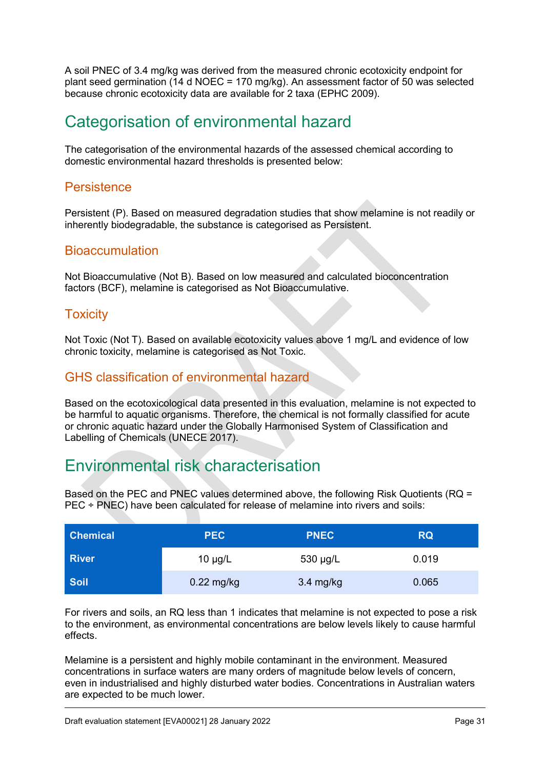A soil PNEC of 3.4 mg/kg was derived from the measured chronic ecotoxicity endpoint for plant seed germination (14 d NOEC = 170 mg/kg). An assessment factor of 50 was selected because chronic ecotoxicity data are available for 2 taxa (EPHC 2009).

# <span id="page-30-0"></span>Categorisation of environmental hazard

The categorisation of the environmental hazards of the assessed chemical according to domestic environmental hazard thresholds is presented below:

### <span id="page-30-1"></span>**Persistence**

Persistent (P). Based on measured degradation studies that show melamine is not readily or inherently biodegradable, the substance is categorised as Persistent.

### <span id="page-30-2"></span>Bioaccumulation

Not Bioaccumulative (Not B). Based on low measured and calculated bioconcentration factors (BCF), melamine is categorised as Not Bioaccumulative.

### <span id="page-30-3"></span>**Toxicity**

Not Toxic (Not T). Based on available ecotoxicity values above 1 mg/L and evidence of low chronic toxicity, melamine is categorised as Not Toxic.

### <span id="page-30-4"></span>GHS classification of environmental hazard

Based on the ecotoxicological data presented in this evaluation, melamine is not expected to be harmful to aquatic organisms. Therefore, the chemical is not formally classified for acute or chronic aquatic hazard under the Globally Harmonised System of Classification and Labelling of Chemicals (UNECE 2017).

# <span id="page-30-5"></span>Environmental risk characterisation

Based on the PEC and PNEC values determined above, the following Risk Quotients (RQ = PEC ÷ PNEC) have been calculated for release of melamine into rivers and soils:

| <b>Chemical</b> | <b>PEC</b>   | <b>PNEC</b>         | <b>RQ</b> |
|-----------------|--------------|---------------------|-----------|
| <b>River</b>    | $10 \mu g/L$ | 530 µg/L            | 0.019     |
| <b>Soil</b>     | $0.22$ mg/kg | $3.4 \text{ mg/kg}$ | 0.065     |

For rivers and soils, an RQ less than 1 indicates that melamine is not expected to pose a risk to the environment, as environmental concentrations are below levels likely to cause harmful effects.

Melamine is a persistent and highly mobile contaminant in the environment. Measured concentrations in surface waters are many orders of magnitude below levels of concern, even in industrialised and highly disturbed water bodies. Concentrations in Australian waters are expected to be much lower.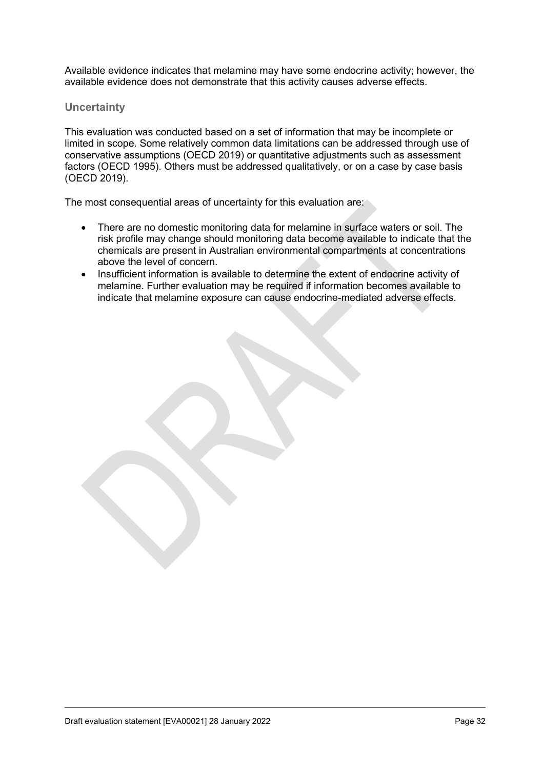Available evidence indicates that melamine may have some endocrine activity; however, the available evidence does not demonstrate that this activity causes adverse effects.

#### **Uncertainty**

This evaluation was conducted based on a set of information that may be incomplete or limited in scope. Some relatively common data limitations can be addressed through use of conservative assumptions (OECD 2019) or quantitative adjustments such as assessment factors (OECD 1995). Others must be addressed qualitatively, or on a case by case basis (OECD 2019).

The most consequential areas of uncertainty for this evaluation are:

- There are no domestic monitoring data for melamine in surface waters or soil. The risk profile may change should monitoring data become available to indicate that the chemicals are present in Australian environmental compartments at concentrations above the level of concern.
- Insufficient information is available to determine the extent of endocrine activity of melamine. Further evaluation may be required if information becomes available to indicate that melamine exposure can cause endocrine-mediated adverse effects.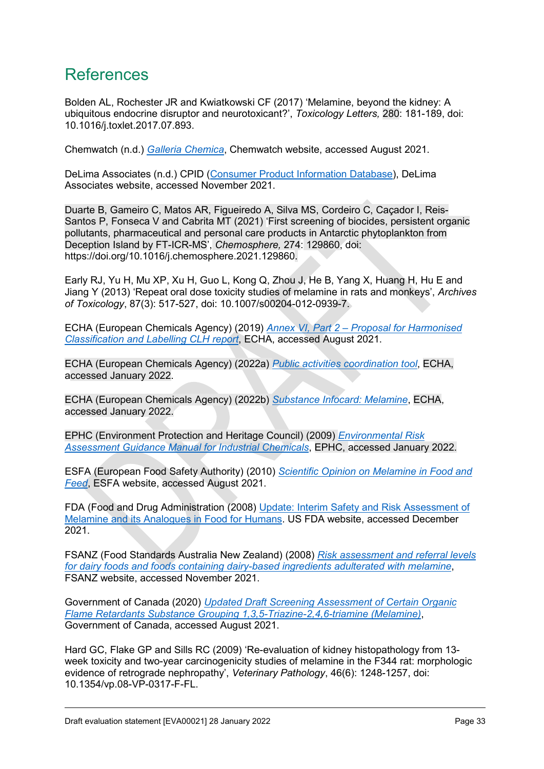# <span id="page-32-0"></span>References

Bolden AL, Rochester JR and Kwiatkowski CF (2017) 'Melamine, beyond the kidney: A ubiquitous endocrine disruptor and neurotoxicant?', *Toxicology Letters,* 280: 181-189, doi: 10.1016/j.toxlet.2017.07.893.

Chemwatch (n.d.) *[Galleria Chemica](https://jr.chemwatch.net/galleria/)*, Chemwatch website, accessed August 2021.

DeLima Associates (n.d.) CPID [\(Consumer Product Information Database\)](https://www.whatsinproducts.com/), DeLima Associates website, accessed November 2021.

Duarte B, Gameiro C, Matos AR, Figueiredo A, Silva MS, Cordeiro C, Caçador I, Reis-Santos P, Fonseca V and Cabrita MT (2021) 'First screening of biocides, persistent organic pollutants, pharmaceutical and personal care products in Antarctic phytoplankton from Deception Island by FT-ICR-MS', *Chemosphere,* 274: 129860, doi: https://doi.org/10.1016/j.chemosphere.2021.129860.

Early RJ, Yu H, Mu XP, Xu H, Guo L, Kong Q, Zhou J, He B, Yang X, Huang H, Hu E and Jiang Y (2013) 'Repeat oral dose toxicity studies of melamine in rats and monkeys', *Archives of Toxicology*, 87(3): 517-527, doi: 10.1007/s00204-012-0939-7.

ECHA (European Chemicals Agency) (2019) *[Annex VI, Part 2 – Proposal for Harmonised](https://echa.europa.eu/documents/10162/3bdeab03-8147-b308-acd0-4ed5848340c0)  [Classification and Labelling CLH report](https://echa.europa.eu/documents/10162/3bdeab03-8147-b308-acd0-4ed5848340c0)*, ECHA, accessed August 2021.

ECHA (European Chemicals Agency) (2022a) *[Public activities coordination tool](https://echa.europa.eu/pact)*, ECHA, accessed January 2022.

ECHA (European Chemicals Agency) (2022b) *[Substance Infocard: Melamine](https://echa.europa.eu/substance-information/-/substanceinfo/100.003.288)*, ECHA, accessed January 2022.

EPHC (Environment Protection and Heritage Council) (2009) *[Environmental Risk](http://www.nepc.gov.au/resource/chemical-risk-assessment-guidance-manuals)  [Assessment Guidance Manual for Industrial Chemicals](http://www.nepc.gov.au/resource/chemical-risk-assessment-guidance-manuals)*, EPHC, accessed January 2022.

ESFA (European Food Safety Authority) (2010) *[Scientific Opinion on Melamine in Food and](https://efsa.onlinelibrary.wiley.com/doi/pdf/10.2903/j.efsa.2010.1573)  [Feed](https://efsa.onlinelibrary.wiley.com/doi/pdf/10.2903/j.efsa.2010.1573)*, ESFA website, accessed August 2021.

FDA (Food and Drug Administration (2008) [Update: Interim Safety and Risk Assessment of](https://wayback.archive-it.org/7993/20170111174251/http:/www.fda.gov/Food/FoodborneIllnessContaminants/ChemicalContaminants/ucm164520.htm)  [Melamine and its Analogues in Food for Humans.](https://wayback.archive-it.org/7993/20170111174251/http:/www.fda.gov/Food/FoodborneIllnessContaminants/ChemicalContaminants/ucm164520.htm) US FDA website, accessed December 2021.

FSANZ (Food Standards Australia New Zealand) (2008) *[Risk assessment and referral levels](https://www.foodstandards.gov.au/consumer/chemicals/melamine/Pages/melamineinfoodsfromchina/riskassessmentandref4064.aspx)  [for dairy foods and foods containing dairy-based ingredients adulterated with melamine](https://www.foodstandards.gov.au/consumer/chemicals/melamine/Pages/melamineinfoodsfromchina/riskassessmentandref4064.aspx)*, FSANZ website, accessed November 2021.

Government of Canada (2020) *[Updated Draft Screening Assessment of Certain Organic](https://www.canada.ca/en/environment-climate-change/services/evaluating-existing-substances/updated-draft-screening-assessment-organic-flame-retardants-substance-grouping-melamine.html)  [Flame Retardants Substance Grouping 1,3,5-Triazine-2,4,6-triamine \(Melamine\)](https://www.canada.ca/en/environment-climate-change/services/evaluating-existing-substances/updated-draft-screening-assessment-organic-flame-retardants-substance-grouping-melamine.html)*, Government of Canada, accessed August 2021.

Hard GC, Flake GP and Sills RC (2009) 'Re-evaluation of kidney histopathology from 13 week toxicity and two-year carcinogenicity studies of melamine in the F344 rat: morphologic evidence of retrograde nephropathy', *Veterinary Pathology*, 46(6): 1248-1257, doi: 10.1354/vp.08-VP-0317-F-FL.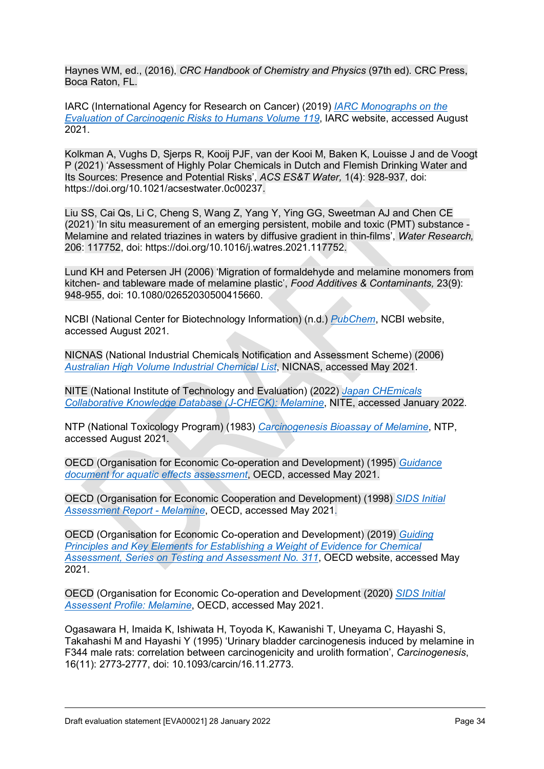Haynes WM, ed., (2016), *CRC Handbook of Chemistry and Physics* (97th ed). CRC Press, Boca Raton, FL.

IARC (International Agency for Research on Cancer) (2019) *[IARC Monographs on the](https://publications.iarc.fr/575)  [Evaluation of Carcinogenic Risks to Humans Volume 119](https://publications.iarc.fr/575)*, IARC website, accessed August 2021.

Kolkman A, Vughs D, Sjerps R, Kooij PJF, van der Kooi M, Baken K, Louisse J and de Voogt P (2021) 'Assessment of Highly Polar Chemicals in Dutch and Flemish Drinking Water and Its Sources: Presence and Potential Risks', *ACS ES&T Water,* 1(4): 928-937, doi: https://doi.org/10.1021/acsestwater.0c00237.

Liu SS, Cai Qs, Li C, Cheng S, Wang Z, Yang Y, Ying GG, Sweetman AJ and Chen CE (2021) 'In situ measurement of an emerging persistent, mobile and toxic (PMT) substance - Melamine and related triazines in waters by diffusive gradient in thin-films', *Water Research,* 206: 117752, doi: https://doi.org/10.1016/j.watres.2021.117752.

Lund KH and Petersen JH (2006) 'Migration of formaldehyde and melamine monomers from kitchen- and tableware made of melamine plastic', *Food Additives & Contaminants,* 23(9): 948-955, doi: 10.1080/02652030500415660.

NCBI (National Center for Biotechnology Information) (n.d.) *[PubChem](https://pubchem.ncbi.nlm.nih.gov/compound/7955)*, NCBI website, accessed August 2021.

NICNAS (National Industrial Chemicals Notification and Assessment Scheme) (2006) *[Australian High Volume Industrial Chemical List](https://webarchive.nla.gov.au/awa/20150622055514/http:/www.nicnas.gov.au/__data/assets/pdf_file/0019/6661/NICNAS_AHVICL_2006_PDF.pdf)*, NICNAS, accessed May 2021.

NITE (National Institute of Technology and Evaluation) (2022) *[Japan CHEmicals](https://www.nite.go.jp/chem/jcheck/detail.action?cno=108-78-1&mno=5-1024&request_locale=en)  [Collaborative Knowledge Database \(J-CHECK\): Melamine](https://www.nite.go.jp/chem/jcheck/detail.action?cno=108-78-1&mno=5-1024&request_locale=en)*, NITE, accessed January 2022.

NTP (National Toxicology Program) (1983) *[Carcinogenesis Bioassay of Melamine](https://ntp.niehs.nih.gov/ntp/htdocs/lt_rpts/tr245.pdf)*, NTP, accessed August 2021.

OECD (Organisation for Economic Co-operation and Development) (1995) *[Guidance](https://www.oecd.org/env/ehs/testing/34290206.pdf)  [document for aquatic effects assessment](https://www.oecd.org/env/ehs/testing/34290206.pdf)*, OECD, accessed May 2021.

OECD (Organisation for Economic Cooperation and Development) (1998) *[SIDS Initial](https://hpvchemicals.oecd.org/UI/SIDS_Details.aspx?key=7550f4d1-8275-4400-b068-18cda6630efc&idx=0)  [Assessment Report - Melamine](https://hpvchemicals.oecd.org/UI/SIDS_Details.aspx?key=7550f4d1-8275-4400-b068-18cda6630efc&idx=0)*, OECD, accessed May 2021.

OECD (Organisation for Economic Co-operation and Development) (2019) *[Guiding](http://www.oecd.org/chemicalsafety/risk-assessment/guiding-principles-and-key-elements-for-establishing-a-weight-of-evidence-for-chemical-assessment.pdf)  [Principles and Key Elements for Establishing a Weight of Evidence for Chemical](http://www.oecd.org/chemicalsafety/risk-assessment/guiding-principles-and-key-elements-for-establishing-a-weight-of-evidence-for-chemical-assessment.pdf)  [Assessment, Series on Testing and Assessment No. 311](http://www.oecd.org/chemicalsafety/risk-assessment/guiding-principles-and-key-elements-for-establishing-a-weight-of-evidence-for-chemical-assessment.pdf)*, OECD website, accessed May 2021.

OECD (Organisation for Economic Co-operation and Development (2020) *[SIDS Initial](https://hpvchemicals.oecd.org/UI/Search.aspx)  [Assessent Profile: Melamine](https://hpvchemicals.oecd.org/UI/Search.aspx)*, OECD, accessed May 2021.

Ogasawara H, Imaida K, Ishiwata H, Toyoda K, Kawanishi T, Uneyama C, Hayashi S, Takahashi M and Hayashi Y (1995) 'Urinary bladder carcinogenesis induced by melamine in F344 male rats: correlation between carcinogenicity and urolith formation', *Carcinogenesis*, 16(11): 2773-2777, doi: 10.1093/carcin/16.11.2773.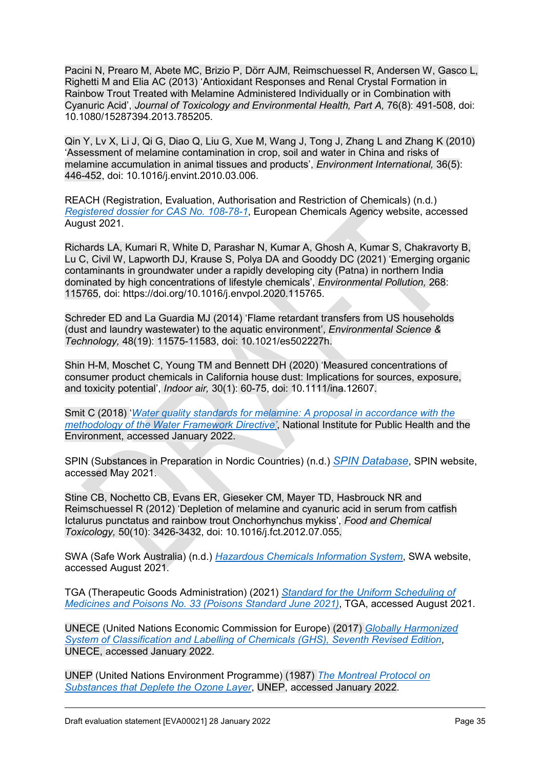Pacini N, Prearo M, Abete MC, Brizio P, Dörr AJM, Reimschuessel R, Andersen W, Gasco L, Righetti M and Elia AC (2013) 'Antioxidant Responses and Renal Crystal Formation in Rainbow Trout Treated with Melamine Administered Individually or in Combination with Cyanuric Acid', *Journal of Toxicology and Environmental Health, Part A,* 76(8): 491-508, doi: 10.1080/15287394.2013.785205.

Qin Y, Lv X, Li J, Qi G, Diao Q, Liu G, Xue M, Wang J, Tong J, Zhang L and Zhang K (2010) 'Assessment of melamine contamination in crop, soil and water in China and risks of melamine accumulation in animal tissues and products', *Environment International,* 36(5): 446-452, doi: 10.1016/j.envint.2010.03.006.

REACH (Registration, Evaluation, Authorisation and Restriction of Chemicals) (n.d.) *[Registered dossier for CAS No. 108-78-1](https://echa.europa.eu/substance-information/-/substanceinfo/100.003.288)*, European Chemicals Agency website, accessed August 2021.

Richards LA, Kumari R, White D, Parashar N, Kumar A, Ghosh A, Kumar S, Chakravorty B, Lu C, Civil W, Lapworth DJ, Krause S, Polya DA and Gooddy DC (2021) 'Emerging organic contaminants in groundwater under a rapidly developing city (Patna) in northern India dominated by high concentrations of lifestyle chemicals', *Environmental Pollution,* 268: 115765, doi: https://doi.org/10.1016/j.envpol.2020.115765.

Schreder ED and La Guardia MJ (2014) 'Flame retardant transfers from US households (dust and laundry wastewater) to the aquatic environment', *Environmental Science & Technology,* 48(19): 11575-11583, doi: 10.1021/es502227h.

Shin H-M, Moschet C, Young TM and Bennett DH (2020) 'Measured concentrations of consumer product chemicals in California house dust: Implications for sources, exposure, and toxicity potential', *Indoor air,* 30(1): 60-75, doi: 10.1111/ina.12607.

Smit C (2018) '*[Water quality standards for melamine: A proposal in accordance with the](https://rivm.openrepository.com/handle/10029/622026)  [methodology of the Water Framework Directive'](https://rivm.openrepository.com/handle/10029/622026)*, National Institute for Public Health and the Environment, accessed January 2022.

SPIN (Substances in Preparation in Nordic Countries) (n.d.) *[SPIN Database](http://www.spin2000.net/spinmyphp/)*, SPIN website, accessed May 2021.

Stine CB, Nochetto CB, Evans ER, Gieseker CM, Mayer TD, Hasbrouck NR and Reimschuessel R (2012) 'Depletion of melamine and cyanuric acid in serum from catfish Ictalurus punctatus and rainbow trout Onchorhynchus mykiss', *Food and Chemical Toxicology,* 50(10): 3426-3432, doi: 10.1016/j.fct.2012.07.055.

SWA (Safe Work Australia) (n.d.) *[Hazardous Chemicals Information System](http://hcis.safeworkaustralia.gov.au/HazardousChemical)*, SWA website, accessed August 2021.

TGA (Therapeutic Goods Administration) (2021) *[Standard for the Uniform Scheduling of](https://www.legislation.gov.au/Details/F2021L00650)  [Medicines and Poisons No. 33 \(Poisons Standard June 2021\)](https://www.legislation.gov.au/Details/F2021L00650)*, TGA, accessed August 2021.

UNECE (United Nations Economic Commission for Europe) (2017) *[Globally Harmonized](http://www.unece.org/trans/danger/publi/ghs/ghs_rev07/07files_e0.html)  [System of Classification and Labelling of Chemicals \(GHS\), Seventh Revised Edition](http://www.unece.org/trans/danger/publi/ghs/ghs_rev07/07files_e0.html)*, UNECE, accessed January 2022.

UNEP (United Nations Environment Programme) (1987) *[The Montreal Protocol on](http://ozone.unep.org/)  [Substances that Deplete the Ozone Layer](http://ozone.unep.org/)*, UNEP, accessed January 2022.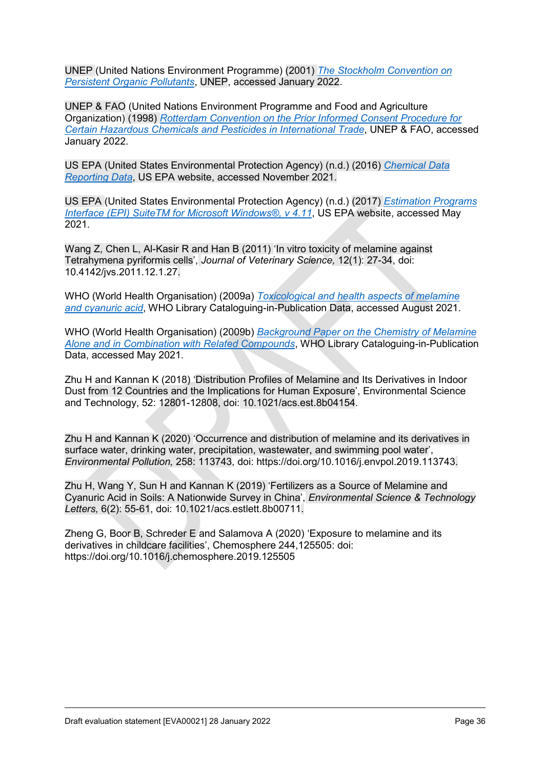UNEP (United Nations Environment Programme) (2001) *[The Stockholm Convention on](http://www.pops.int/)  [Persistent Organic Pollutants](http://www.pops.int/)*, UNEP, accessed January 2022.

UNEP & FAO (United Nations Environment Programme and Food and Agriculture Organization) (1998) *[Rotterdam Convention on the Prior Informed Consent Procedure for](http://www.pic.int/)  [Certain Hazardous Chemicals and Pesticides in International Trade](http://www.pic.int/)*, UNEP & FAO, accessed January 2022.

US EPA (United States Environmental Protection Agency) (n.d.) (2016) *[Chemical Data](https://www.epa.gov/chemical-data-reporting/access-cdr-data)  [Reporting Data](https://www.epa.gov/chemical-data-reporting/access-cdr-data)*, US EPA website, accessed November 2021.

US EPA (United States Environmental Protection Agency) (n.d.) (2017) *[Estimation Programs](https://www.epa.gov/tsca-screening-tools/epi-suitetm-estimation-program-interface)  [Interface \(EPI\) SuiteTM for Microsoft Windows®, v 4.11](https://www.epa.gov/tsca-screening-tools/epi-suitetm-estimation-program-interface)*, US EPA website, accessed May 2021.

Wang Z, Chen L, Al-Kasir R and Han B (2011) 'In vitro toxicity of melamine against Tetrahymena pyriformis cells', *Journal of Veterinary Science,* 12(1): 27-34, doi: 10.4142/jvs.2011.12.1.27.

WHO (World Health Organisation) (2009a) *[Toxicological and health aspects of melamine](http://apps.who.int/iris/bitstream/handle/10665/44106/9789241597951_eng.pdf;jsessionid=22EB942B8E5A77D9F8953590391F0087?sequence=1)  [and cyanuric acid](http://apps.who.int/iris/bitstream/handle/10665/44106/9789241597951_eng.pdf;jsessionid=22EB942B8E5A77D9F8953590391F0087?sequence=1)*, WHO Library Cataloguing-in-Publication Data, accessed August 2021.

WHO (World Health Organisation) (2009b) *[Background Paper on the Chemistry of Melamine](https://www.who.int/foodsafety/fs_management/Melamine_2.pdf)  [Alone and in Combination with Related Compounds](https://www.who.int/foodsafety/fs_management/Melamine_2.pdf)*, WHO Library Cataloguing-in-Publication Data, accessed May 2021.

Zhu H and Kannan K (2018) 'Distribution Profiles of Melamine and Its Derivatives in Indoor Dust from 12 Countries and the Implications for Human Exposure', Environmental Science and Technology, 52: 12801-12808, doi: 10.1021/acs.est.8b04154.

Zhu H and Kannan K (2020) 'Occurrence and distribution of melamine and its derivatives in surface water, drinking water, precipitation, wastewater, and swimming pool water', *Environmental Pollution,* 258: 113743, doi: https://doi.org/10.1016/j.envpol.2019.113743.

Zhu H, Wang Y, Sun H and Kannan K (2019) 'Fertilizers as a Source of Melamine and Cyanuric Acid in Soils: A Nationwide Survey in China', *Environmental Science & Technology Letters,* 6(2): 55-61, doi: 10.1021/acs.estlett.8b00711.

Zheng G, Boor B, Schreder E and Salamova A (2020) 'Exposure to melamine and its derivatives in childcare facilities', Chemosphere 244,125505: doi: https://doi.org/10.1016/j.chemosphere.2019.125505